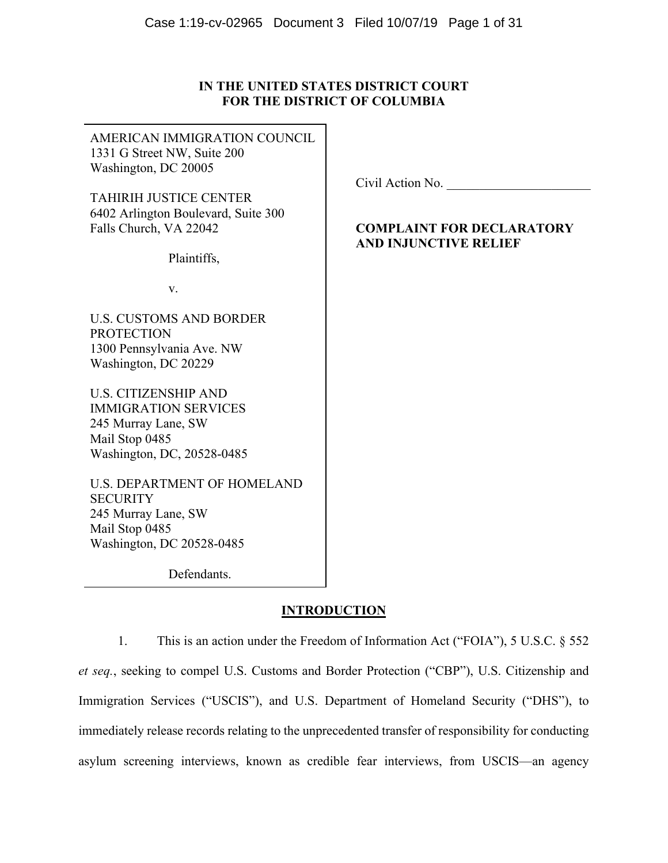# **IN THE UNITED STATES DISTRICT COURT FOR THE DISTRICT OF COLUMBIA**

| AMERICAN IMMIGRATION COUNCIL<br>1331 G Street NW, Suite 200<br>Washington, DC 20005                                               |                                                                                      |
|-----------------------------------------------------------------------------------------------------------------------------------|--------------------------------------------------------------------------------------|
| <b>TAHIRIH JUSTICE CENTER</b><br>6402 Arlington Boulevard, Suite 300<br>Falls Church, VA 22042                                    | Civil Action No.<br><b>COMPLAINT FOR DECLARATORY</b><br><b>AND INJUNCTIVE RELIEF</b> |
| Plaintiffs,                                                                                                                       |                                                                                      |
| V.                                                                                                                                |                                                                                      |
| <b>U.S. CUSTOMS AND BORDER</b><br><b>PROTECTION</b><br>1300 Pennsylvania Ave. NW<br>Washington, DC 20229                          |                                                                                      |
| <b>U.S. CITIZENSHIP AND</b><br><b>IMMIGRATION SERVICES</b><br>245 Murray Lane, SW<br>Mail Stop 0485<br>Washington, DC, 20528-0485 |                                                                                      |
| <b>U.S. DEPARTMENT OF HOMELAND</b><br><b>SECURITY</b><br>245 Murray Lane, SW<br>Mail Stop 0485                                    |                                                                                      |

Defendants.

Washington, DC 20528-0485

# **INTRODUCTION**

1. This is an action under the Freedom of Information Act ("FOIA"), 5 U.S.C. § 552 *et seq.*, seeking to compel U.S. Customs and Border Protection ("CBP"), U.S. Citizenship and Immigration Services ("USCIS"), and U.S. Department of Homeland Security ("DHS"), to immediately release records relating to the unprecedented transfer of responsibility for conducting asylum screening interviews, known as credible fear interviews, from USCIS—an agency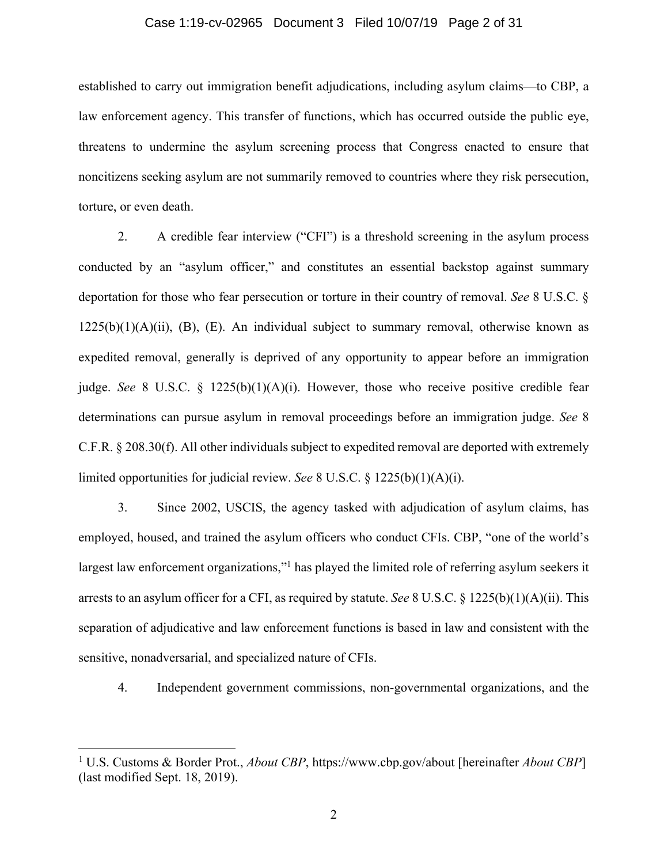## Case 1:19-cv-02965 Document 3 Filed 10/07/19 Page 2 of 31

established to carry out immigration benefit adjudications, including asylum claims—to CBP, a law enforcement agency. This transfer of functions, which has occurred outside the public eye, threatens to undermine the asylum screening process that Congress enacted to ensure that noncitizens seeking asylum are not summarily removed to countries where they risk persecution, torture, or even death.

2. A credible fear interview ("CFI") is a threshold screening in the asylum process conducted by an "asylum officer," and constitutes an essential backstop against summary deportation for those who fear persecution or torture in their country of removal. *See* 8 U.S.C. §  $1225(b)(1)(A)(ii)$ , (B), (E). An individual subject to summary removal, otherwise known as expedited removal, generally is deprived of any opportunity to appear before an immigration judge. *See* 8 U.S.C. § 1225(b)(1)(A)(i). However, those who receive positive credible fear determinations can pursue asylum in removal proceedings before an immigration judge. *See* 8 C.F.R. § 208.30(f). All other individuals subject to expedited removal are deported with extremely limited opportunities for judicial review. *See* 8 U.S.C. § 1225(b)(1)(A)(i).

3. Since 2002, USCIS, the agency tasked with adjudication of asylum claims, has employed, housed, and trained the asylum officers who conduct CFIs. CBP, "one of the world's largest law enforcement organizations,"<sup>1</sup> has played the limited role of referring asylum seekers it arrests to an asylum officer for a CFI, as required by statute. *See* 8 U.S.C. § 1225(b)(1)(A)(ii). This separation of adjudicative and law enforcement functions is based in law and consistent with the sensitive, nonadversarial, and specialized nature of CFIs.

4. Independent government commissions, non-governmental organizations, and the

<sup>1</sup> U.S. Customs & Border Prot., *About CBP*, https://www.cbp.gov/about [hereinafter *About CBP*] (last modified Sept. 18, 2019).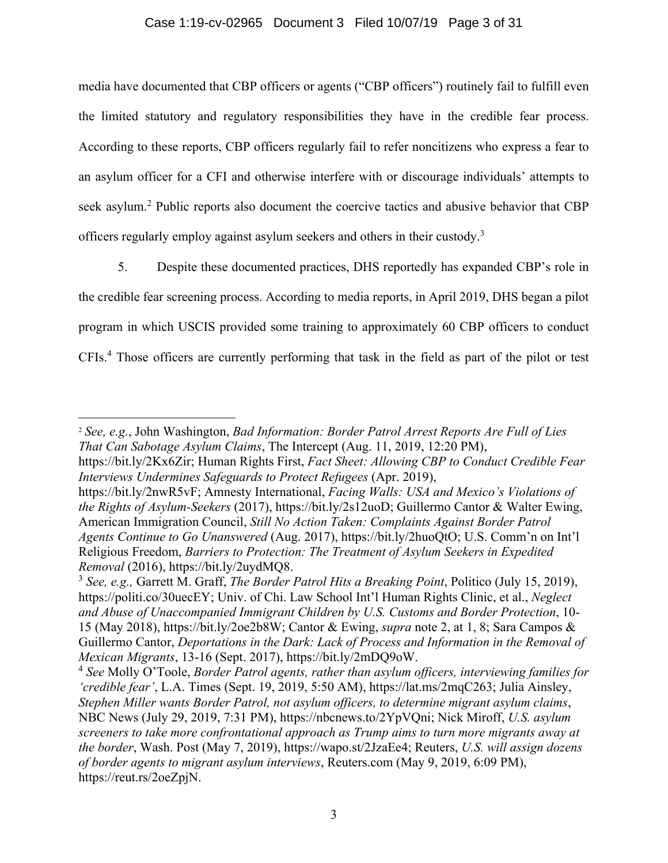# Case 1:19-cv-02965 Document 3 Filed 10/07/19 Page 3 of 31

media have documented that CBP officers or agents ("CBP officers") routinely fail to fulfill even the limited statutory and regulatory responsibilities they have in the credible fear process. According to these reports, CBP officers regularly fail to refer noncitizens who express a fear to an asylum officer for a CFI and otherwise interfere with or discourage individuals' attempts to seek asylum.<sup>2</sup> Public reports also document the coercive tactics and abusive behavior that CBP officers regularly employ against asylum seekers and others in their custody.<sup>3</sup>

5. Despite these documented practices, DHS reportedly has expanded CBP's role in the credible fear screening process. According to media reports, in April 2019, DHS began a pilot program in which USCIS provided some training to approximately 60 CBP officers to conduct CFIs.<sup>4</sup> Those officers are currently performing that task in the field as part of the pilot or test

<sup>2</sup> *See, e.g.*, John Washington, *Bad Information: Border Patrol Arrest Reports Are Full of Lies That Can Sabotage Asylum Claims*, The Intercept (Aug. 11, 2019, 12:20 PM),

https://bit.ly/2Kx6Zir; Human Rights First, *Fact Sheet: Allowing CBP to Conduct Credible Fear Interviews Undermines Safeguards to Protect Refugees* (Apr. 2019),

https://bit.ly/2nwR5vF; Amnesty International, *Facing Walls: USA and Mexico's Violations of the Rights of Asylum-Seekers* (2017), https://bit.ly/2s12uoD; Guillermo Cantor & Walter Ewing, American Immigration Council, *Still No Action Taken: Complaints Against Border Patrol Agents Continue to Go Unanswered* (Aug. 2017), https://bit.ly/2huoQtO; U.S. Comm'n on Int'l Religious Freedom, *Barriers to Protection: The Treatment of Asylum Seekers in Expedited Removal* (2016), https://bit.ly/2uydMQ8.

<sup>3</sup> *See, e.g.,* Garrett M. Graff, *The Border Patrol Hits a Breaking Point*, Politico (July 15, 2019), https://politi.co/30uecEY; Univ. of Chi. Law School Int'l Human Rights Clinic, et al., *Neglect and Abuse of Unaccompanied Immigrant Children by U.S. Customs and Border Protection*, 10- 15 (May 2018), https://bit.ly/2oe2b8W; Cantor & Ewing, *supra* note 2, at 1, 8; Sara Campos & Guillermo Cantor, *Deportations in the Dark: Lack of Process and Information in the Removal of Mexican Migrants*, 13-16 (Sept. 2017), https://bit.ly/2mDQ9oW.

<sup>4</sup> *See* Molly O'Toole, *Border Patrol agents, rather than asylum officers, interviewing families for 'credible fear'*, L.A. Times (Sept. 19, 2019, 5:50 AM), https://lat.ms/2mqC263; Julia Ainsley, *Stephen Miller wants Border Patrol, not asylum officers, to determine migrant asylum claims*, NBC News (July 29, 2019, 7:31 PM), https://nbcnews.to/2YpVQni; Nick Miroff, *U.S. asylum screeners to take more confrontational approach as Trump aims to turn more migrants away at the border*, Wash. Post (May 7, 2019), https://wapo.st/2JzaEe4; Reuters, *U.S. will assign dozens of border agents to migrant asylum interviews*, Reuters.com (May 9, 2019, 6:09 PM), https://reut.rs/2oeZpjN.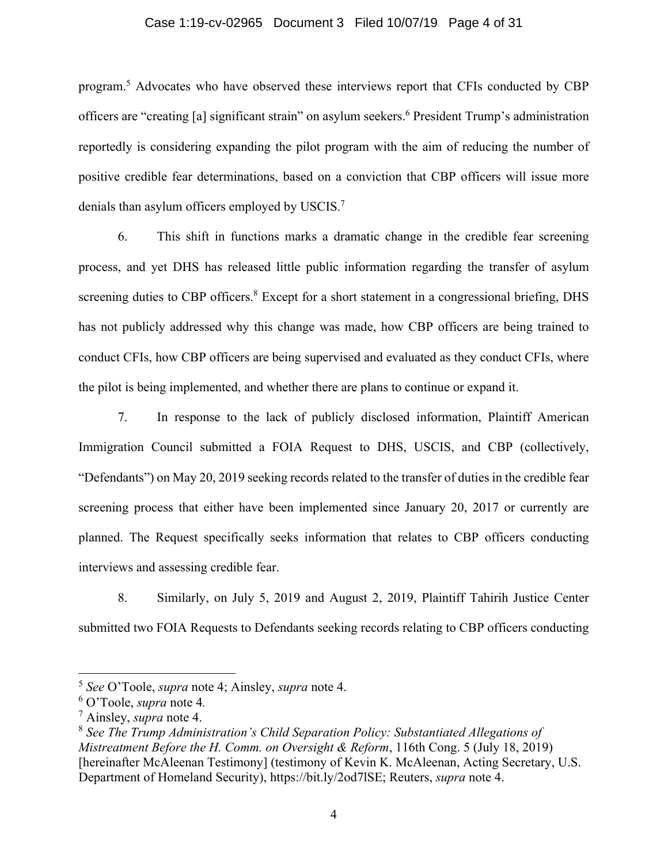#### Case 1:19-cv-02965 Document 3 Filed 10/07/19 Page 4 of 31

program.<sup>5</sup> Advocates who have observed these interviews report that CFIs conducted by CBP officers are "creating [a] significant strain" on asylum seekers.<sup>6</sup> President Trump's administration reportedly is considering expanding the pilot program with the aim of reducing the number of positive credible fear determinations, based on a conviction that CBP officers will issue more denials than asylum officers employed by USCIS. $^7$ 

6. This shift in functions marks a dramatic change in the credible fear screening process, and yet DHS has released little public information regarding the transfer of asylum screening duties to CBP officers.<sup>8</sup> Except for a short statement in a congressional briefing, DHS has not publicly addressed why this change was made, how CBP officers are being trained to conduct CFIs, how CBP officers are being supervised and evaluated as they conduct CFIs, where the pilot is being implemented, and whether there are plans to continue or expand it.

7. In response to the lack of publicly disclosed information, Plaintiff American Immigration Council submitted a FOIA Request to DHS, USCIS, and CBP (collectively, "Defendants") on May 20, 2019 seeking records related to the transfer of duties in the credible fear screening process that either have been implemented since January 20, 2017 or currently are planned. The Request specifically seeks information that relates to CBP officers conducting interviews and assessing credible fear.

8. Similarly, on July 5, 2019 and August 2, 2019, Plaintiff Tahirih Justice Center submitted two FOIA Requests to Defendants seeking records relating to CBP officers conducting

<sup>5</sup> *See* O'Toole, *supra* note 4; Ainsley, *supra* note 4.

<sup>6</sup> O'Toole, *supra* note 4*.* 

<sup>7</sup> Ainsley, *supra* note 4.

<sup>8</sup> *See The Trump Administration's Child Separation Policy: Substantiated Allegations of Mistreatment Before the H. Comm. on Oversight & Reform*, 116th Cong. 5 (July 18, 2019) [hereinafter McAleenan Testimony] (testimony of Kevin K. McAleenan, Acting Secretary, U.S. Department of Homeland Security), https://bit.ly/2od7lSE; Reuters, *supra* note 4.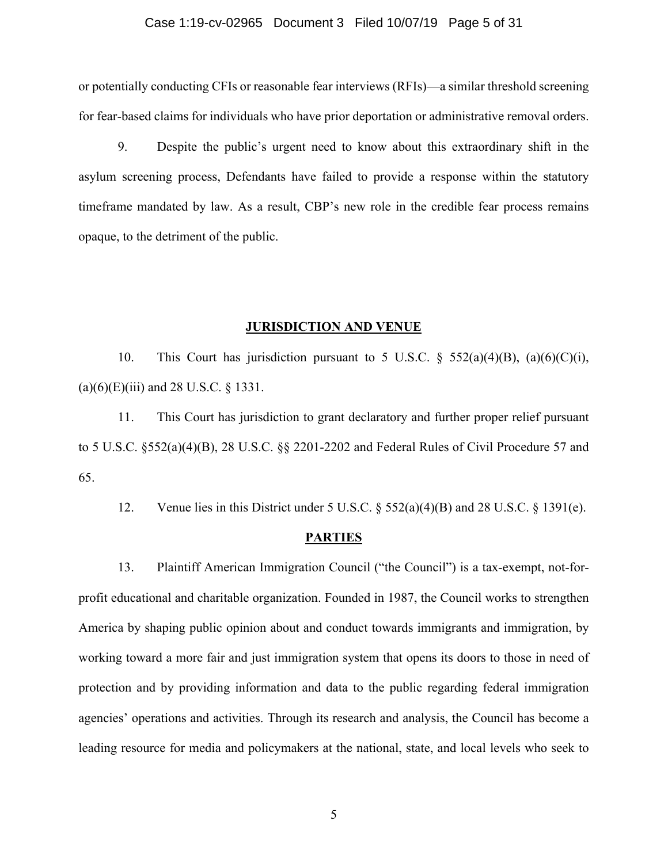## Case 1:19-cv-02965 Document 3 Filed 10/07/19 Page 5 of 31

or potentially conducting CFIs or reasonable fear interviews (RFIs)—a similar threshold screening for fear-based claims for individuals who have prior deportation or administrative removal orders.

9. Despite the public's urgent need to know about this extraordinary shift in the asylum screening process, Defendants have failed to provide a response within the statutory timeframe mandated by law. As a result, CBP's new role in the credible fear process remains opaque, to the detriment of the public.

#### **JURISDICTION AND VENUE**

10. This Court has jurisdiction pursuant to 5 U.S.C.  $\S$  552(a)(4)(B), (a)(6)(C)(i),  $(a)(6)(E)(iii)$  and 28 U.S.C. § 1331.

11. This Court has jurisdiction to grant declaratory and further proper relief pursuant to 5 U.S.C. §552(a)(4)(B), 28 U.S.C. §§ 2201-2202 and Federal Rules of Civil Procedure 57 and 65.

12. Venue lies in this District under 5 U.S.C. § 552(a)(4)(B) and 28 U.S.C. § 1391(e).

#### **PARTIES**

13. Plaintiff American Immigration Council ("the Council") is a tax-exempt, not-forprofit educational and charitable organization. Founded in 1987, the Council works to strengthen America by shaping public opinion about and conduct towards immigrants and immigration, by working toward a more fair and just immigration system that opens its doors to those in need of protection and by providing information and data to the public regarding federal immigration agencies' operations and activities. Through its research and analysis, the Council has become a leading resource for media and policymakers at the national, state, and local levels who seek to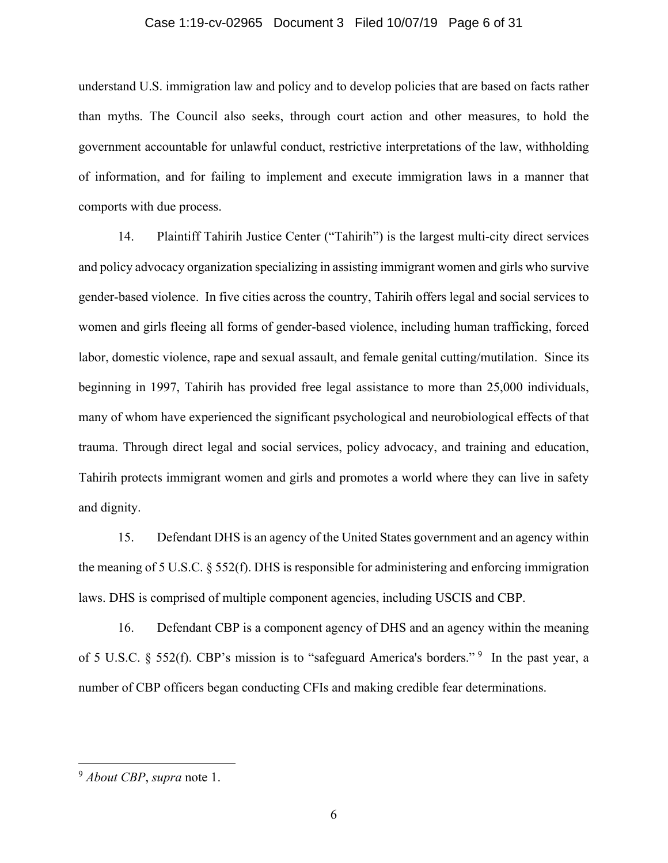## Case 1:19-cv-02965 Document 3 Filed 10/07/19 Page 6 of 31

understand U.S. immigration law and policy and to develop policies that are based on facts rather than myths. The Council also seeks, through court action and other measures, to hold the government accountable for unlawful conduct, restrictive interpretations of the law, withholding of information, and for failing to implement and execute immigration laws in a manner that comports with due process.

14. Plaintiff Tahirih Justice Center ("Tahirih") is the largest multi-city direct services and policy advocacy organization specializing in assisting immigrant women and girls who survive gender-based violence. In five cities across the country, Tahirih offers legal and social services to women and girls fleeing all forms of gender-based violence, including human trafficking, forced labor, domestic violence, rape and sexual assault, and female genital cutting/mutilation. Since its beginning in 1997, Tahirih has provided free legal assistance to more than 25,000 individuals, many of whom have experienced the significant psychological and neurobiological effects of that trauma. Through direct legal and social services, policy advocacy, and training and education, Tahirih protects immigrant women and girls and promotes a world where they can live in safety and dignity.

15. Defendant DHS is an agency of the United States government and an agency within the meaning of 5 U.S.C. § 552(f). DHS is responsible for administering and enforcing immigration laws. DHS is comprised of multiple component agencies, including USCIS and CBP.

16. Defendant CBP is a component agency of DHS and an agency within the meaning of 5 U.S.C. § 552(f). CBP's mission is to "safeguard America's borders." <sup>9</sup> In the past year, a number of CBP officers began conducting CFIs and making credible fear determinations.

<sup>9</sup> *About CBP*, *supra* note 1.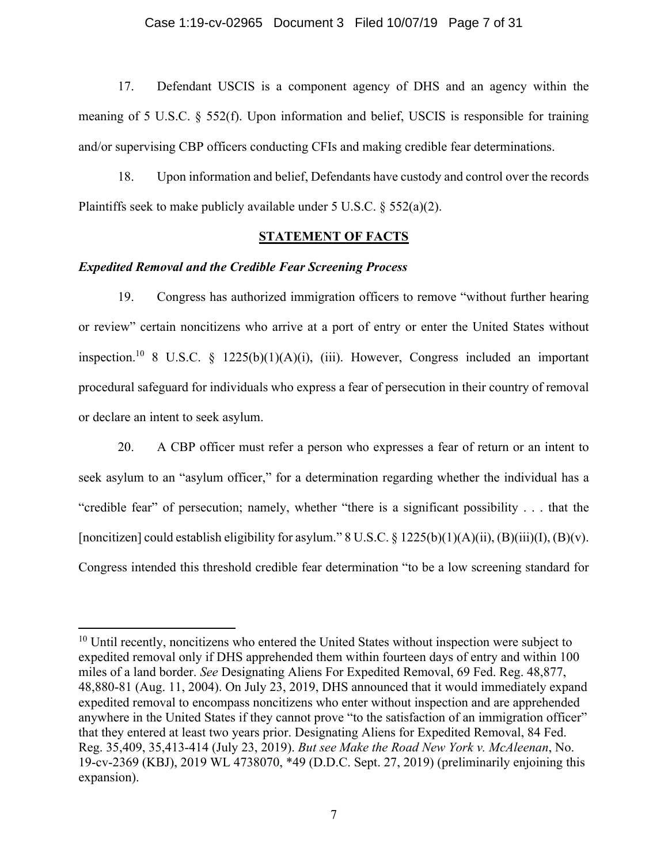17. Defendant USCIS is a component agency of DHS and an agency within the meaning of 5 U.S.C. § 552(f). Upon information and belief, USCIS is responsible for training and/or supervising CBP officers conducting CFIs and making credible fear determinations.

18. Upon information and belief, Defendants have custody and control over the records Plaintiffs seek to make publicly available under  $5 \text{ U.S.C. }$  §  $552(a)(2)$ .

# **STATEMENT OF FACTS**

## *Expedited Removal and the Credible Fear Screening Process*

19. Congress has authorized immigration officers to remove "without further hearing or review" certain noncitizens who arrive at a port of entry or enter the United States without inspection.<sup>10</sup> 8 U.S.C. § 1225(b)(1)(A)(i), (iii). However, Congress included an important procedural safeguard for individuals who express a fear of persecution in their country of removal or declare an intent to seek asylum.

20. A CBP officer must refer a person who expresses a fear of return or an intent to seek asylum to an "asylum officer," for a determination regarding whether the individual has a "credible fear" of persecution; namely, whether "there is a significant possibility . . . that the [noncitizen] could establish eligibility for asylum."  $8 \text{ U.S.C.} \$   $1225(b)(1)(A)(ii), (B)(iii)(I), (B)(v).$ Congress intended this threshold credible fear determination "to be a low screening standard for

 $10$  Until recently, noncitizens who entered the United States without inspection were subject to expedited removal only if DHS apprehended them within fourteen days of entry and within 100 miles of a land border. *See* Designating Aliens For Expedited Removal, 69 Fed. Reg. 48,877, 48,880-81 (Aug. 11, 2004). On July 23, 2019, DHS announced that it would immediately expand expedited removal to encompass noncitizens who enter without inspection and are apprehended anywhere in the United States if they cannot prove "to the satisfaction of an immigration officer" that they entered at least two years prior. Designating Aliens for Expedited Removal, 84 Fed. Reg. 35,409, 35,413-414 (July 23, 2019). *But see Make the Road New York v. McAleenan*, No. 19-cv-2369 (KBJ), 2019 WL 4738070, \*49 (D.D.C. Sept. 27, 2019) (preliminarily enjoining this expansion).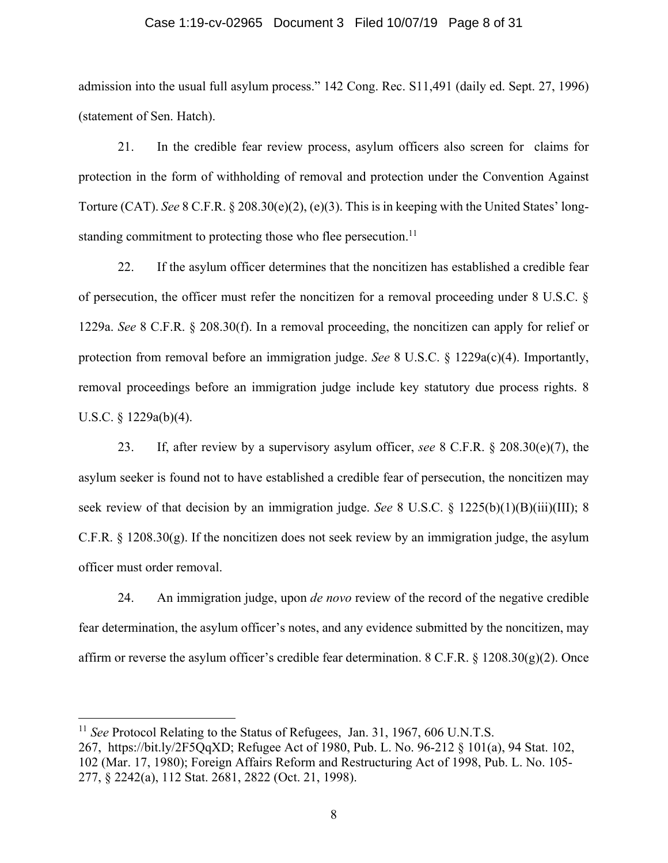## Case 1:19-cv-02965 Document 3 Filed 10/07/19 Page 8 of 31

admission into the usual full asylum process." 142 Cong. Rec. S11,491 (daily ed. Sept. 27, 1996) (statement of Sen. Hatch).

21. In the credible fear review process, asylum officers also screen for claims for protection in the form of withholding of removal and protection under the Convention Against Torture (CAT). *See* 8 C.F.R. § 208.30(e)(2), (e)(3). This is in keeping with the United States' longstanding commitment to protecting those who flee persecution.<sup>11</sup>

22. If the asylum officer determines that the noncitizen has established a credible fear of persecution, the officer must refer the noncitizen for a removal proceeding under 8 U.S.C. § 1229a. *See* 8 C.F.R. § 208.30(f). In a removal proceeding, the noncitizen can apply for relief or protection from removal before an immigration judge. *See* 8 U.S.C. § 1229a(c)(4). Importantly, removal proceedings before an immigration judge include key statutory due process rights. 8 U.S.C. § 1229a(b)(4).

23. If, after review by a supervisory asylum officer, *see* 8 C.F.R. § 208.30(e)(7), the asylum seeker is found not to have established a credible fear of persecution, the noncitizen may seek review of that decision by an immigration judge. *See* 8 U.S.C. § 1225(b)(1)(B)(iii)(III); 8 C.F.R.  $\S$  1208.30(g). If the noncitizen does not seek review by an immigration judge, the asylum officer must order removal.

24. An immigration judge, upon *de novo* review of the record of the negative credible fear determination, the asylum officer's notes, and any evidence submitted by the noncitizen, may affirm or reverse the asylum officer's credible fear determination. 8 C.F.R. § 1208.30(g)(2). Once

<sup>&</sup>lt;sup>11</sup> *See* Protocol Relating to the Status of Refugees, Jan. 31, 1967, 606 U.N.T.S.

<sup>267,</sup> https://bit.ly/2F5QqXD; Refugee Act of 1980, Pub. L. No. 96-212 § 101(a), 94 Stat. 102, 102 (Mar. 17, 1980); Foreign Affairs Reform and Restructuring Act of 1998, Pub. L. No. 105- 277, § 2242(a), 112 Stat. 2681, 2822 (Oct. 21, 1998).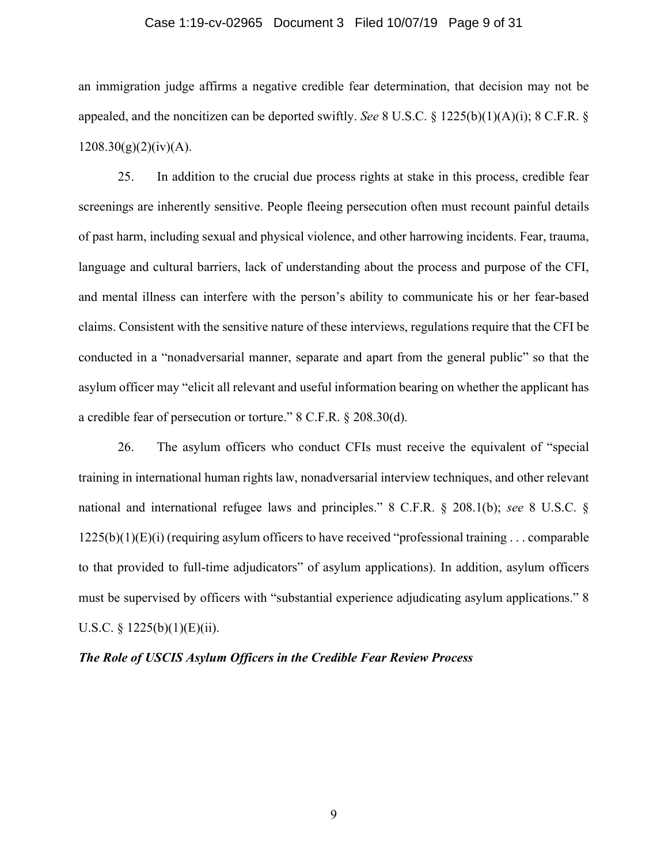# Case 1:19-cv-02965 Document 3 Filed 10/07/19 Page 9 of 31

an immigration judge affirms a negative credible fear determination, that decision may not be appealed, and the noncitizen can be deported swiftly. *See* 8 U.S.C. § 1225(b)(1)(A)(i); 8 C.F.R. §  $1208.30(g)(2)(iv)(A).$ 

25. In addition to the crucial due process rights at stake in this process, credible fear screenings are inherently sensitive. People fleeing persecution often must recount painful details of past harm, including sexual and physical violence, and other harrowing incidents. Fear, trauma, language and cultural barriers, lack of understanding about the process and purpose of the CFI, and mental illness can interfere with the person's ability to communicate his or her fear-based claims. Consistent with the sensitive nature of these interviews, regulations require that the CFI be conducted in a "nonadversarial manner, separate and apart from the general public" so that the asylum officer may "elicit all relevant and useful information bearing on whether the applicant has a credible fear of persecution or torture." 8 C.F.R. § 208.30(d).

26. The asylum officers who conduct CFIs must receive the equivalent of "special training in international human rights law, nonadversarial interview techniques, and other relevant national and international refugee laws and principles." 8 C.F.R. § 208.1(b); *see* 8 U.S.C. §  $1225(b)(1)(E)(i)$  (requiring asylum officers to have received "professional training ... comparable to that provided to full-time adjudicators" of asylum applications). In addition, asylum officers must be supervised by officers with "substantial experience adjudicating asylum applications." 8 U.S.C. §  $1225(b)(1)(E)(ii)$ .

## *The Role of USCIS Asylum Officers in the Credible Fear Review Process*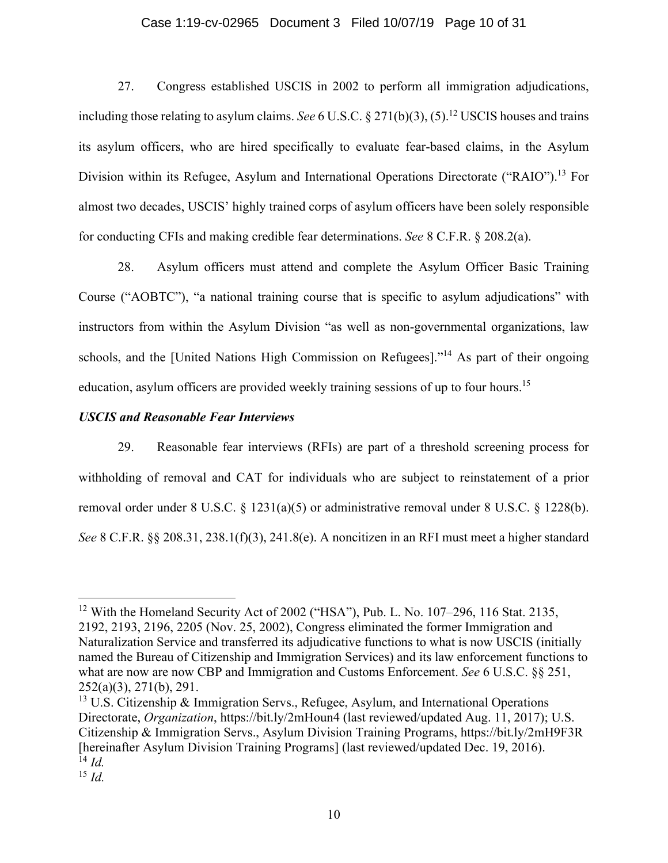## Case 1:19-cv-02965 Document 3 Filed 10/07/19 Page 10 of 31

27. Congress established USCIS in 2002 to perform all immigration adjudications, including those relating to asylum claims. *See* 6 U.S.C. § 271(b)(3), (5).<sup>12</sup> USCIS houses and trains its asylum officers, who are hired specifically to evaluate fear-based claims, in the Asylum Division within its Refugee, Asylum and International Operations Directorate ("RAIO").<sup>13</sup> For almost two decades, USCIS' highly trained corps of asylum officers have been solely responsible for conducting CFIs and making credible fear determinations. *See* 8 C.F.R. § 208.2(a).

28. Asylum officers must attend and complete the Asylum Officer Basic Training Course ("AOBTC"), "a national training course that is specific to asylum adjudications" with instructors from within the Asylum Division "as well as non-governmental organizations, law schools, and the [United Nations High Commission on Refugees]."<sup>14</sup> As part of their ongoing education, asylum officers are provided weekly training sessions of up to four hours.<sup>15</sup>

# *USCIS and Reasonable Fear Interviews*

29. Reasonable fear interviews (RFIs) are part of a threshold screening process for withholding of removal and CAT for individuals who are subject to reinstatement of a prior removal order under 8 U.S.C. § 1231(a)(5) or administrative removal under 8 U.S.C. § 1228(b). *See* 8 C.F.R. §§ 208.31, 238.1(f)(3), 241.8(e). A noncitizen in an RFI must meet a higher standard

<sup>&</sup>lt;sup>12</sup> With the Homeland Security Act of 2002 ("HSA"), Pub. L. No. 107-296, 116 Stat. 2135, 2192, 2193, 2196, 2205 (Nov. 25, 2002), Congress eliminated the former Immigration and Naturalization Service and transferred its adjudicative functions to what is now USCIS (initially named the Bureau of Citizenship and Immigration Services) and its law enforcement functions to what are now are now CBP and Immigration and Customs Enforcement. *See* 6 U.S.C. §§ 251, 252(a)(3), 271(b), 291.

<sup>&</sup>lt;sup>13</sup> U.S. Citizenship & Immigration Servs., Refugee, Asylum, and International Operations Directorate, *Organization*, https://bit.ly/2mHoun4 (last reviewed/updated Aug. 11, 2017); U.S. Citizenship & Immigration Servs., Asylum Division Training Programs, https://bit.ly/2mH9F3R [hereinafter Asylum Division Training Programs] (last reviewed/updated Dec. 19, 2016).  $^{14}$  *Id.* 

<sup>15</sup> *Id.*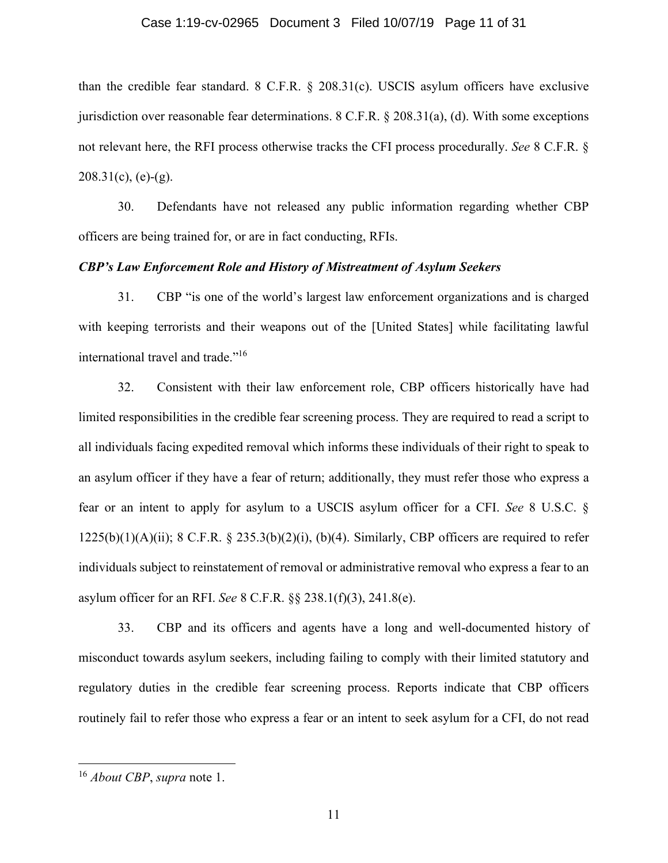## Case 1:19-cv-02965 Document 3 Filed 10/07/19 Page 11 of 31

than the credible fear standard. 8 C.F.R. § 208.31(c). USCIS asylum officers have exclusive jurisdiction over reasonable fear determinations. 8 C.F.R. § 208.31(a), (d). With some exceptions not relevant here, the RFI process otherwise tracks the CFI process procedurally. *See* 8 C.F.R. §  $208.31(c)$ , (e)-(g).

30. Defendants have not released any public information regarding whether CBP officers are being trained for, or are in fact conducting, RFIs.

## *CBP's Law Enforcement Role and History of Mistreatment of Asylum Seekers*

31. CBP "is one of the world's largest law enforcement organizations and is charged with keeping terrorists and their weapons out of the [United States] while facilitating lawful international travel and trade."<sup>16</sup>

32. Consistent with their law enforcement role, CBP officers historically have had limited responsibilities in the credible fear screening process. They are required to read a script to all individuals facing expedited removal which informs these individuals of their right to speak to an asylum officer if they have a fear of return; additionally, they must refer those who express a fear or an intent to apply for asylum to a USCIS asylum officer for a CFI. *See* 8 U.S.C. §  $1225(b)(1)(A)(ii)$ ; 8 C.F.R. § 235.3(b)(2)(i), (b)(4). Similarly, CBP officers are required to refer individuals subject to reinstatement of removal or administrative removal who express a fear to an asylum officer for an RFI. *See* 8 C.F.R. §§ 238.1(f)(3), 241.8(e).

33. CBP and its officers and agents have a long and well-documented history of misconduct towards asylum seekers, including failing to comply with their limited statutory and regulatory duties in the credible fear screening process. Reports indicate that CBP officers routinely fail to refer those who express a fear or an intent to seek asylum for a CFI, do not read

<sup>16</sup> *About CBP*, *supra* note 1.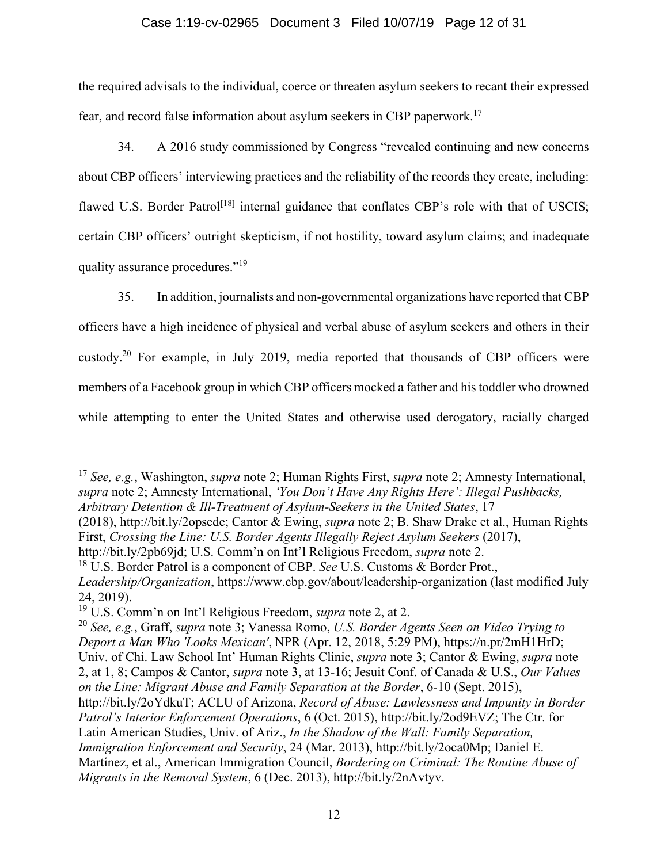# Case 1:19-cv-02965 Document 3 Filed 10/07/19 Page 12 of 31

the required advisals to the individual, coerce or threaten asylum seekers to recant their expressed fear, and record false information about asylum seekers in CBP paperwork.17

34. A 2016 study commissioned by Congress "revealed continuing and new concerns about CBP officers' interviewing practices and the reliability of the records they create, including: flawed U.S. Border Patrol<sup>[18]</sup> internal guidance that conflates CBP's role with that of USCIS; certain CBP officers' outright skepticism, if not hostility, toward asylum claims; and inadequate quality assurance procedures."19

35. In addition, journalists and non-governmental organizations have reported that CBP officers have a high incidence of physical and verbal abuse of asylum seekers and others in their custody.20 For example, in July 2019, media reported that thousands of CBP officers were members of a Facebook group in which CBP officers mocked a father and his toddler who drowned while attempting to enter the United States and otherwise used derogatory, racially charged

<sup>17</sup> *See, e.g.*, Washington, *supra* note 2; Human Rights First, *supra* note 2; Amnesty International, *supra* note 2; Amnesty International, *'You Don't Have Any Rights Here': Illegal Pushbacks, Arbitrary Detention & Ill-Treatment of Asylum-Seekers in the United States*, 17

(2018), http://bit.ly/2opsede; Cantor & Ewing, *supra* note 2; B. Shaw Drake et al., Human Rights First, *Crossing the Line: U.S. Border Agents Illegally Reject Asylum Seekers* (2017),

http://bit.ly/2pb69jd; U.S. Comm'n on Int'l Religious Freedom, *supra* note 2.

<sup>18</sup> U.S. Border Patrol is a component of CBP. *See* U.S. Customs & Border Prot., *Leadership/Organization*, https://www.cbp.gov/about/leadership-organization (last modified July 24, 2019).

<sup>19</sup> U.S. Comm'n on Int'l Religious Freedom, *supra* note 2, at 2.

<sup>20</sup> *See, e.g.*, Graff, *supra* note 3; Vanessa Romo, *U.S. Border Agents Seen on Video Trying to Deport a Man Who 'Looks Mexican'*, NPR (Apr. 12, 2018, 5:29 PM), https://n.pr/2mH1HrD; Univ. of Chi. Law School Int' Human Rights Clinic, *supra* note 3; Cantor & Ewing, *supra* note 2, at 1, 8; Campos & Cantor, *supra* note 3, at 13-16; Jesuit Conf. of Canada & U.S., *Our Values on the Line: Migrant Abuse and Family Separation at the Border*, 6-10 (Sept. 2015), http://bit.ly/2oYdkuT; ACLU of Arizona, *Record of Abuse: Lawlessness and Impunity in Border Patrol's Interior Enforcement Operations*, 6 (Oct. 2015), http://bit.ly/2od9EVZ; The Ctr. for Latin American Studies, Univ. of Ariz., *In the Shadow of the Wall: Family Separation, Immigration Enforcement and Security*, 24 (Mar. 2013), http://bit.ly/2oca0Mp; Daniel E. Martínez, et al., American Immigration Council, *Bordering on Criminal: The Routine Abuse of Migrants in the Removal System*, 6 (Dec. 2013), http://bit.ly/2nAvtyv.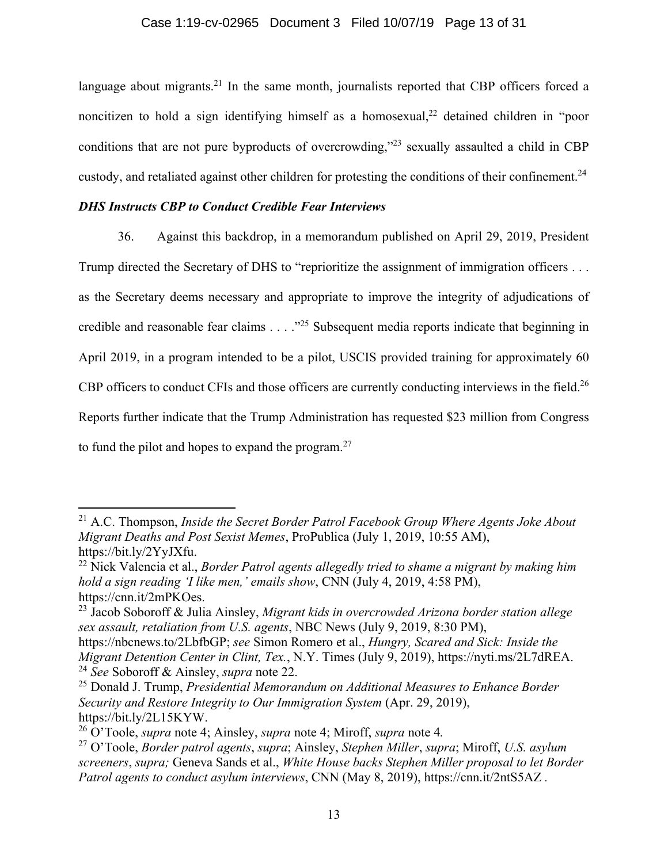language about migrants.<sup>21</sup> In the same month, journalists reported that CBP officers forced a noncitizen to hold a sign identifying himself as a homosexual,<sup>22</sup> detained children in "poor conditions that are not pure byproducts of overcrowding,"<sup>23</sup> sexually assaulted a child in CBP custody, and retaliated against other children for protesting the conditions of their confinement.<sup>24</sup>

# *DHS Instructs CBP to Conduct Credible Fear Interviews*

36. Against this backdrop, in a memorandum published on April 29, 2019, President Trump directed the Secretary of DHS to "reprioritize the assignment of immigration officers . . . as the Secretary deems necessary and appropriate to improve the integrity of adjudications of credible and reasonable fear claims . . . ."25 Subsequent media reports indicate that beginning in April 2019, in a program intended to be a pilot, USCIS provided training for approximately 60 CBP officers to conduct CFIs and those officers are currently conducting interviews in the field.<sup>26</sup> Reports further indicate that the Trump Administration has requested \$23 million from Congress to fund the pilot and hopes to expand the program. $27$ 

<sup>21</sup> A.C. Thompson, *Inside the Secret Border Patrol Facebook Group Where Agents Joke About Migrant Deaths and Post Sexist Memes*, ProPublica (July 1, 2019, 10:55 AM), https://bit.ly/2YyJXfu.

<sup>22</sup> Nick Valencia et al., *Border Patrol agents allegedly tried to shame a migrant by making him hold a sign reading 'I like men,' emails show*, CNN (July 4, 2019, 4:58 PM), https://cnn.it/2mPKOes.

<sup>23</sup> Jacob Soboroff & Julia Ainsley, *Migrant kids in overcrowded Arizona border station allege sex assault, retaliation from U.S. agents*, NBC News (July 9, 2019, 8:30 PM),

https://nbcnews.to/2LbfbGP; *see* Simon Romero et al., *Hungry, Scared and Sick: Inside the Migrant Detention Center in Clint, Tex.*, N.Y. Times (July 9, 2019), https://nyti.ms/2L7dREA. <sup>24</sup> *See* Soboroff & Ainsley, *supra* note 22.

<sup>25</sup> Donald J. Trump, *Presidential Memorandum on Additional Measures to Enhance Border Security and Restore Integrity to Our Immigration System* (Apr. 29, 2019), https://bit.ly/2L15KYW.

<sup>26</sup> O'Toole, *supra* note 4; Ainsley, *supra* note 4; Miroff, *supra* note 4*.* 

<sup>27</sup> O'Toole, *Border patrol agents*, *supra*; Ainsley, *Stephen Miller*, *supra*; Miroff, *U.S. asylum screeners*, *supra;* Geneva Sands et al., *White House backs Stephen Miller proposal to let Border Patrol agents to conduct asylum interviews*, CNN (May 8, 2019), https://cnn.it/2ntS5AZ *.*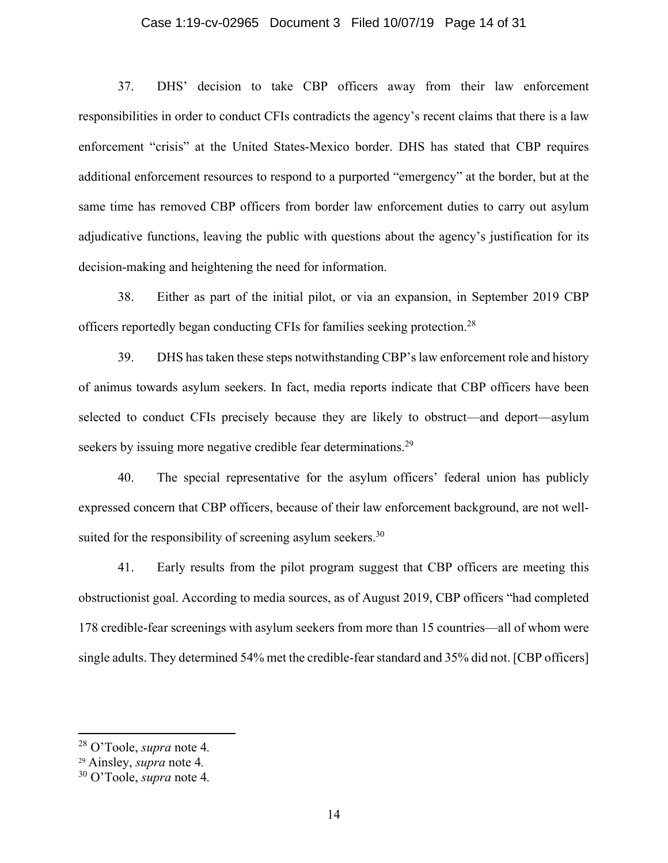## Case 1:19-cv-02965 Document 3 Filed 10/07/19 Page 14 of 31

37. DHS' decision to take CBP officers away from their law enforcement responsibilities in order to conduct CFIs contradicts the agency's recent claims that there is a law enforcement "crisis" at the United States-Mexico border. DHS has stated that CBP requires additional enforcement resources to respond to a purported "emergency" at the border, but at the same time has removed CBP officers from border law enforcement duties to carry out asylum adjudicative functions, leaving the public with questions about the agency's justification for its decision-making and heightening the need for information.

38. Either as part of the initial pilot, or via an expansion, in September 2019 CBP officers reportedly began conducting CFIs for families seeking protection.28

39. DHS has taken these steps notwithstanding CBP's law enforcement role and history of animus towards asylum seekers. In fact, media reports indicate that CBP officers have been selected to conduct CFIs precisely because they are likely to obstruct—and deport—asylum seekers by issuing more negative credible fear determinations.<sup>29</sup>

40. The special representative for the asylum officers' federal union has publicly expressed concern that CBP officers, because of their law enforcement background, are not wellsuited for the responsibility of screening asylum seekers.<sup>30</sup>

41. Early results from the pilot program suggest that CBP officers are meeting this obstructionist goal. According to media sources, as of August 2019, CBP officers "had completed 178 credible-fear screenings with asylum seekers from more than 15 countries—all of whom were single adults. They determined 54% met the credible-fear standard and 35% did not. [CBP officers]

<sup>28</sup> O'Toole, *supra* note 4*.*

<sup>29</sup> Ainsley, *supra* note 4*.*

<sup>30</sup> O'Toole, *supra* note 4*.*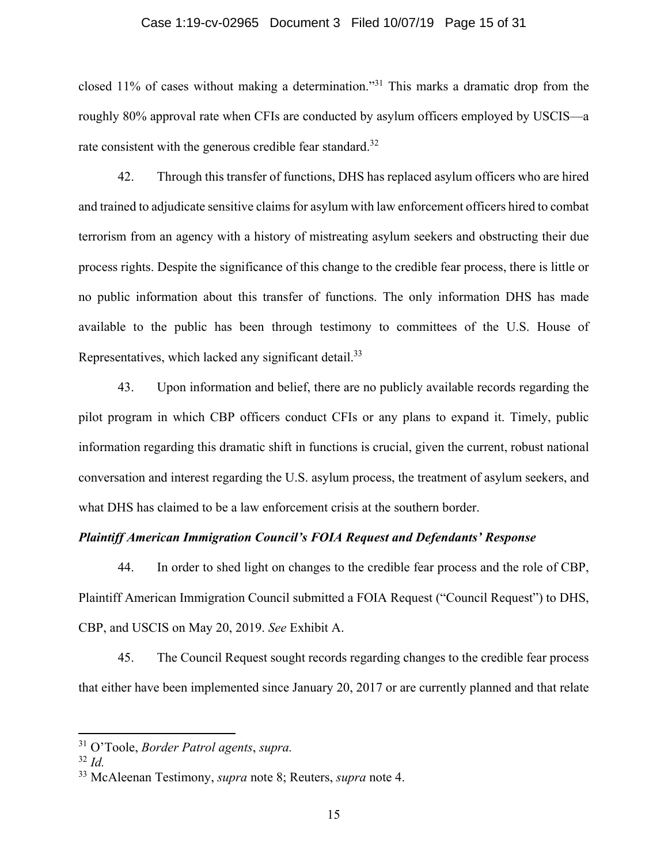## Case 1:19-cv-02965 Document 3 Filed 10/07/19 Page 15 of 31

closed 11% of cases without making a determination."31 This marks a dramatic drop from the roughly 80% approval rate when CFIs are conducted by asylum officers employed by USCIS—a rate consistent with the generous credible fear standard.<sup>32</sup>

42. Through this transfer of functions, DHS has replaced asylum officers who are hired and trained to adjudicate sensitive claims for asylum with law enforcement officers hired to combat terrorism from an agency with a history of mistreating asylum seekers and obstructing their due process rights. Despite the significance of this change to the credible fear process, there is little or no public information about this transfer of functions. The only information DHS has made available to the public has been through testimony to committees of the U.S. House of Representatives, which lacked any significant detail.<sup>33</sup>

43. Upon information and belief, there are no publicly available records regarding the pilot program in which CBP officers conduct CFIs or any plans to expand it. Timely, public information regarding this dramatic shift in functions is crucial, given the current, robust national conversation and interest regarding the U.S. asylum process, the treatment of asylum seekers, and what DHS has claimed to be a law enforcement crisis at the southern border.

# *Plaintiff American Immigration Council's FOIA Request and Defendants' Response*

44. In order to shed light on changes to the credible fear process and the role of CBP, Plaintiff American Immigration Council submitted a FOIA Request ("Council Request") to DHS, CBP, and USCIS on May 20, 2019. *See* Exhibit A.

45. The Council Request sought records regarding changes to the credible fear process that either have been implemented since January 20, 2017 or are currently planned and that relate

<sup>31</sup> O'Toole, *Border Patrol agents*, *supra.*

 $32$  *Id.* 

<sup>33</sup> McAleenan Testimony, *supra* note 8; Reuters, *supra* note 4.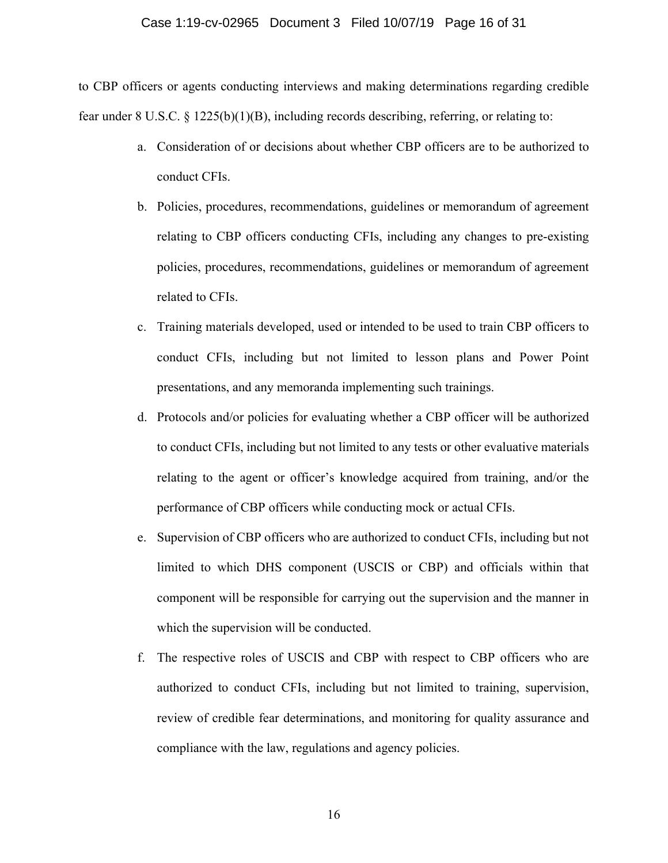#### Case 1:19-cv-02965 Document 3 Filed 10/07/19 Page 16 of 31

to CBP officers or agents conducting interviews and making determinations regarding credible fear under 8 U.S.C.  $\S 1225(b)(1)(B)$ , including records describing, referring, or relating to:

- a. Consideration of or decisions about whether CBP officers are to be authorized to conduct CFIs.
- b. Policies, procedures, recommendations, guidelines or memorandum of agreement relating to CBP officers conducting CFIs, including any changes to pre-existing policies, procedures, recommendations, guidelines or memorandum of agreement related to CFIs.
- c. Training materials developed, used or intended to be used to train CBP officers to conduct CFIs, including but not limited to lesson plans and Power Point presentations, and any memoranda implementing such trainings.
- d. Protocols and/or policies for evaluating whether a CBP officer will be authorized to conduct CFIs, including but not limited to any tests or other evaluative materials relating to the agent or officer's knowledge acquired from training, and/or the performance of CBP officers while conducting mock or actual CFIs.
- e. Supervision of CBP officers who are authorized to conduct CFIs, including but not limited to which DHS component (USCIS or CBP) and officials within that component will be responsible for carrying out the supervision and the manner in which the supervision will be conducted.
- f. The respective roles of USCIS and CBP with respect to CBP officers who are authorized to conduct CFIs, including but not limited to training, supervision, review of credible fear determinations, and monitoring for quality assurance and compliance with the law, regulations and agency policies.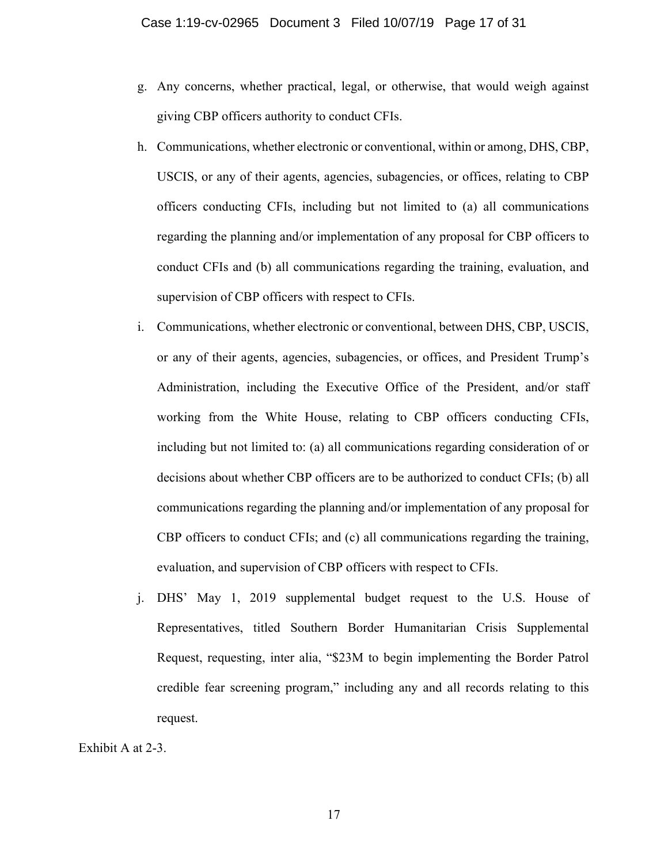- g. Any concerns, whether practical, legal, or otherwise, that would weigh against giving CBP officers authority to conduct CFIs.
- h. Communications, whether electronic or conventional, within or among, DHS, CBP, USCIS, or any of their agents, agencies, subagencies, or offices, relating to CBP officers conducting CFIs, including but not limited to (a) all communications regarding the planning and/or implementation of any proposal for CBP officers to conduct CFIs and (b) all communications regarding the training, evaluation, and supervision of CBP officers with respect to CFIs.
- i. Communications, whether electronic or conventional, between DHS, CBP, USCIS, or any of their agents, agencies, subagencies, or offices, and President Trump's Administration, including the Executive Office of the President, and/or staff working from the White House, relating to CBP officers conducting CFIs, including but not limited to: (a) all communications regarding consideration of or decisions about whether CBP officers are to be authorized to conduct CFIs; (b) all communications regarding the planning and/or implementation of any proposal for CBP officers to conduct CFIs; and (c) all communications regarding the training, evaluation, and supervision of CBP officers with respect to CFIs.
- j. DHS' May 1, 2019 supplemental budget request to the U.S. House of Representatives, titled Southern Border Humanitarian Crisis Supplemental Request, requesting, inter alia, "\$23M to begin implementing the Border Patrol credible fear screening program," including any and all records relating to this request.

#### Exhibit A at 2-3.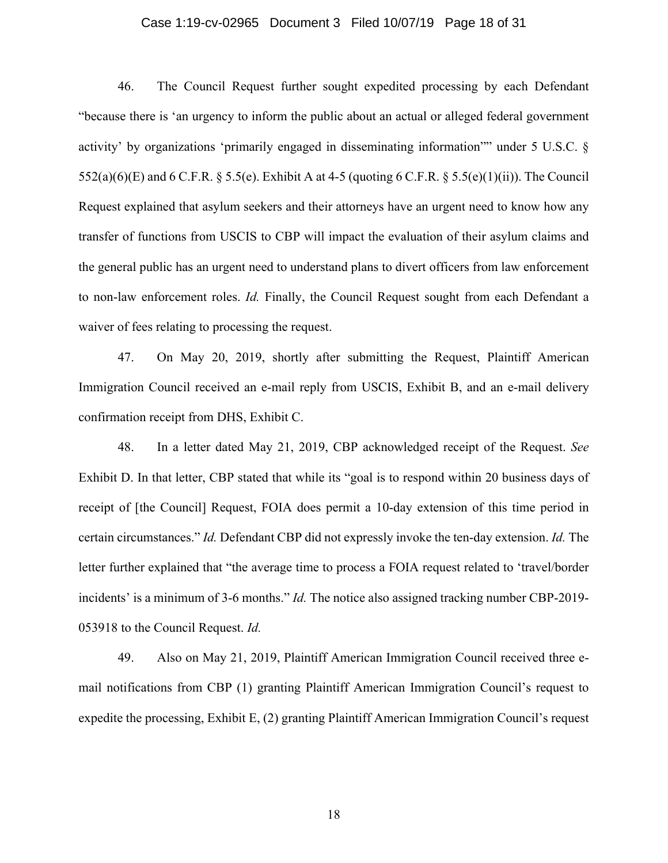# Case 1:19-cv-02965 Document 3 Filed 10/07/19 Page 18 of 31

46. The Council Request further sought expedited processing by each Defendant "because there is 'an urgency to inform the public about an actual or alleged federal government activity' by organizations 'primarily engaged in disseminating information"" under 5 U.S.C. §  $552(a)(6)(E)$  and  $6$  C.F.R. § 5.5(e). Exhibit A at 4-5 (quoting  $6$  C.F.R. § 5.5(e)(1)(ii)). The Council Request explained that asylum seekers and their attorneys have an urgent need to know how any transfer of functions from USCIS to CBP will impact the evaluation of their asylum claims and the general public has an urgent need to understand plans to divert officers from law enforcement to non-law enforcement roles. *Id.* Finally, the Council Request sought from each Defendant a waiver of fees relating to processing the request.

47. On May 20, 2019, shortly after submitting the Request, Plaintiff American Immigration Council received an e-mail reply from USCIS, Exhibit B, and an e-mail delivery confirmation receipt from DHS, Exhibit C.

48. In a letter dated May 21, 2019, CBP acknowledged receipt of the Request. *See*  Exhibit D. In that letter, CBP stated that while its "goal is to respond within 20 business days of receipt of [the Council] Request, FOIA does permit a 10-day extension of this time period in certain circumstances." *Id.* Defendant CBP did not expressly invoke the ten-day extension. *Id.* The letter further explained that "the average time to process a FOIA request related to 'travel/border incidents' is a minimum of 3-6 months." *Id.* The notice also assigned tracking number CBP-2019- 053918 to the Council Request. *Id.*

49. Also on May 21, 2019, Plaintiff American Immigration Council received three email notifications from CBP (1) granting Plaintiff American Immigration Council's request to expedite the processing, Exhibit E, (2) granting Plaintiff American Immigration Council's request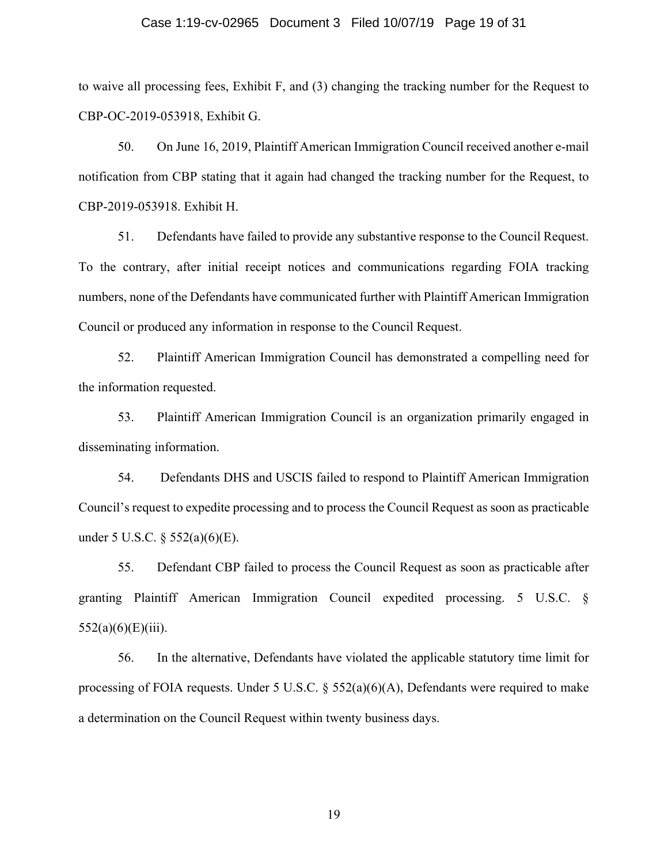## Case 1:19-cv-02965 Document 3 Filed 10/07/19 Page 19 of 31

to waive all processing fees, Exhibit F, and (3) changing the tracking number for the Request to CBP-OC-2019-053918, Exhibit G.

50. On June 16, 2019, Plaintiff American Immigration Council received another e-mail notification from CBP stating that it again had changed the tracking number for the Request, to CBP-2019-053918. Exhibit H.

51. Defendants have failed to provide any substantive response to the Council Request. To the contrary, after initial receipt notices and communications regarding FOIA tracking numbers, none of the Defendants have communicated further with Plaintiff American Immigration Council or produced any information in response to the Council Request.

52. Plaintiff American Immigration Council has demonstrated a compelling need for the information requested.

53. Plaintiff American Immigration Council is an organization primarily engaged in disseminating information.

54. Defendants DHS and USCIS failed to respond to Plaintiff American Immigration Council's request to expedite processing and to process the Council Request as soon as practicable under 5 U.S.C. § 552(a)(6)(E).

55. Defendant CBP failed to process the Council Request as soon as practicable after granting Plaintiff American Immigration Council expedited processing. 5 U.S.C. §  $552(a)(6)(E)(iii)$ .

56. In the alternative, Defendants have violated the applicable statutory time limit for processing of FOIA requests. Under 5 U.S.C. § 552(a)(6)(A), Defendants were required to make a determination on the Council Request within twenty business days.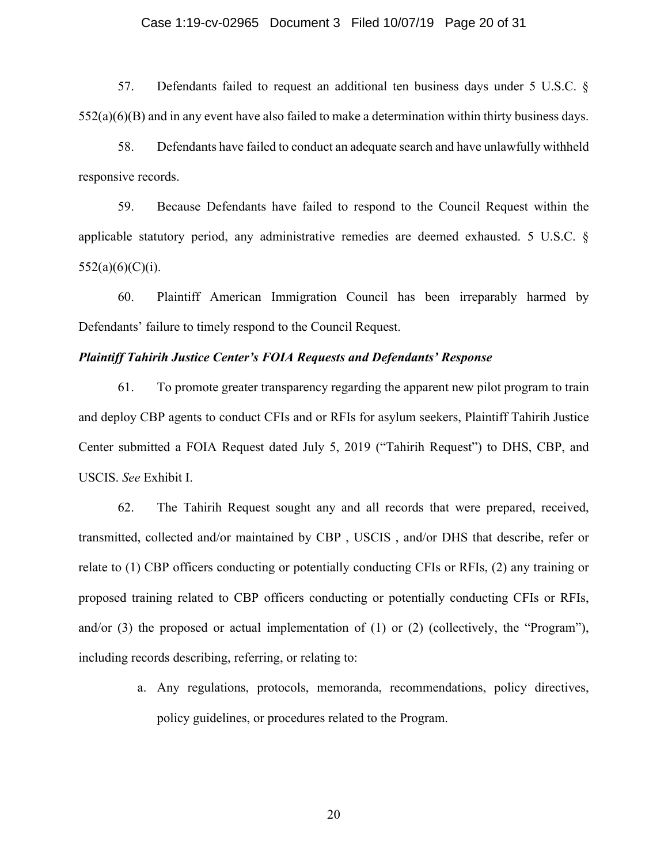#### Case 1:19-cv-02965 Document 3 Filed 10/07/19 Page 20 of 31

57. Defendants failed to request an additional ten business days under 5 U.S.C. §  $552(a)(6)(B)$  and in any event have also failed to make a determination within thirty business days.

58. Defendants have failed to conduct an adequate search and have unlawfully withheld responsive records.

59. Because Defendants have failed to respond to the Council Request within the applicable statutory period, any administrative remedies are deemed exhausted. 5 U.S.C. §  $552(a)(6)(C)(i)$ .

60. Plaintiff American Immigration Council has been irreparably harmed by Defendants' failure to timely respond to the Council Request.

## *Plaintiff Tahirih Justice Center's FOIA Requests and Defendants' Response*

61. To promote greater transparency regarding the apparent new pilot program to train and deploy CBP agents to conduct CFIs and or RFIs for asylum seekers, Plaintiff Tahirih Justice Center submitted a FOIA Request dated July 5, 2019 ("Tahirih Request") to DHS, CBP, and USCIS. *See* Exhibit I.

62. The Tahirih Request sought any and all records that were prepared, received, transmitted, collected and/or maintained by CBP , USCIS , and/or DHS that describe, refer or relate to (1) CBP officers conducting or potentially conducting CFIs or RFIs, (2) any training or proposed training related to CBP officers conducting or potentially conducting CFIs or RFIs, and/or  $(3)$  the proposed or actual implementation of  $(1)$  or  $(2)$  (collectively, the "Program"), including records describing, referring, or relating to:

> a. Any regulations, protocols, memoranda, recommendations, policy directives, policy guidelines, or procedures related to the Program.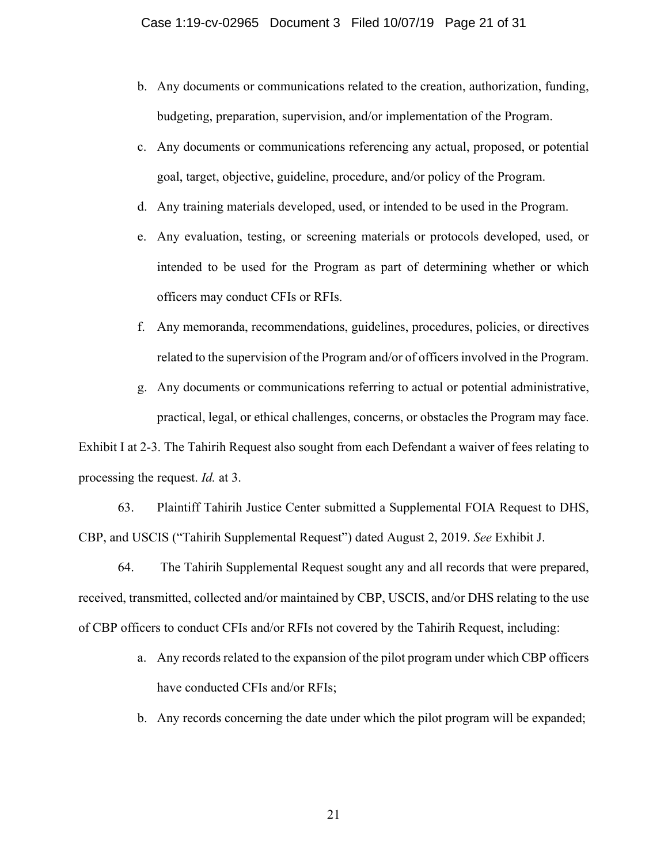- b. Any documents or communications related to the creation, authorization, funding, budgeting, preparation, supervision, and/or implementation of the Program.
- c. Any documents or communications referencing any actual, proposed, or potential goal, target, objective, guideline, procedure, and/or policy of the Program.
- d. Any training materials developed, used, or intended to be used in the Program.
- e. Any evaluation, testing, or screening materials or protocols developed, used, or intended to be used for the Program as part of determining whether or which officers may conduct CFIs or RFIs.
- f. Any memoranda, recommendations, guidelines, procedures, policies, or directives related to the supervision of the Program and/or of officers involved in the Program.
- g. Any documents or communications referring to actual or potential administrative, practical, legal, or ethical challenges, concerns, or obstacles the Program may face.

Exhibit I at 2-3. The Tahirih Request also sought from each Defendant a waiver of fees relating to processing the request. *Id.* at 3.

63. Plaintiff Tahirih Justice Center submitted a Supplemental FOIA Request to DHS, CBP, and USCIS ("Tahirih Supplemental Request") dated August 2, 2019. *See* Exhibit J.

64. The Tahirih Supplemental Request sought any and all records that were prepared, received, transmitted, collected and/or maintained by CBP, USCIS, and/or DHS relating to the use of CBP officers to conduct CFIs and/or RFIs not covered by the Tahirih Request, including:

- a. Any records related to the expansion of the pilot program under which CBP officers have conducted CFIs and/or RFIs;
- b. Any records concerning the date under which the pilot program will be expanded;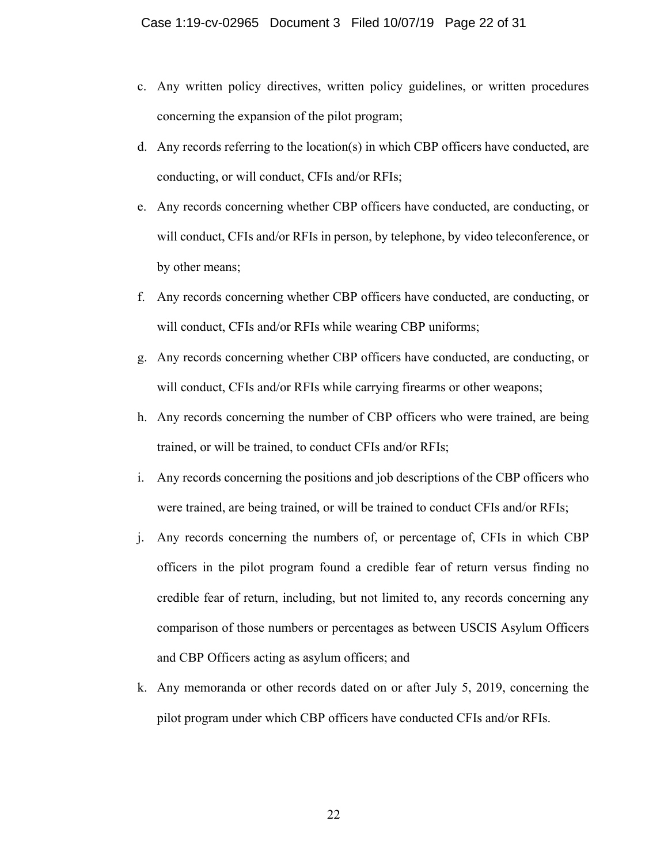- c. Any written policy directives, written policy guidelines, or written procedures concerning the expansion of the pilot program;
- d. Any records referring to the location(s) in which CBP officers have conducted, are conducting, or will conduct, CFIs and/or RFIs;
- e. Any records concerning whether CBP officers have conducted, are conducting, or will conduct, CFIs and/or RFIs in person, by telephone, by video teleconference, or by other means;
- f. Any records concerning whether CBP officers have conducted, are conducting, or will conduct, CFIs and/or RFIs while wearing CBP uniforms;
- g. Any records concerning whether CBP officers have conducted, are conducting, or will conduct, CFIs and/or RFIs while carrying firearms or other weapons;
- h. Any records concerning the number of CBP officers who were trained, are being trained, or will be trained, to conduct CFIs and/or RFIs;
- i. Any records concerning the positions and job descriptions of the CBP officers who were trained, are being trained, or will be trained to conduct CFIs and/or RFIs;
- j. Any records concerning the numbers of, or percentage of, CFIs in which CBP officers in the pilot program found a credible fear of return versus finding no credible fear of return, including, but not limited to, any records concerning any comparison of those numbers or percentages as between USCIS Asylum Officers and CBP Officers acting as asylum officers; and
- k. Any memoranda or other records dated on or after July 5, 2019, concerning the pilot program under which CBP officers have conducted CFIs and/or RFIs.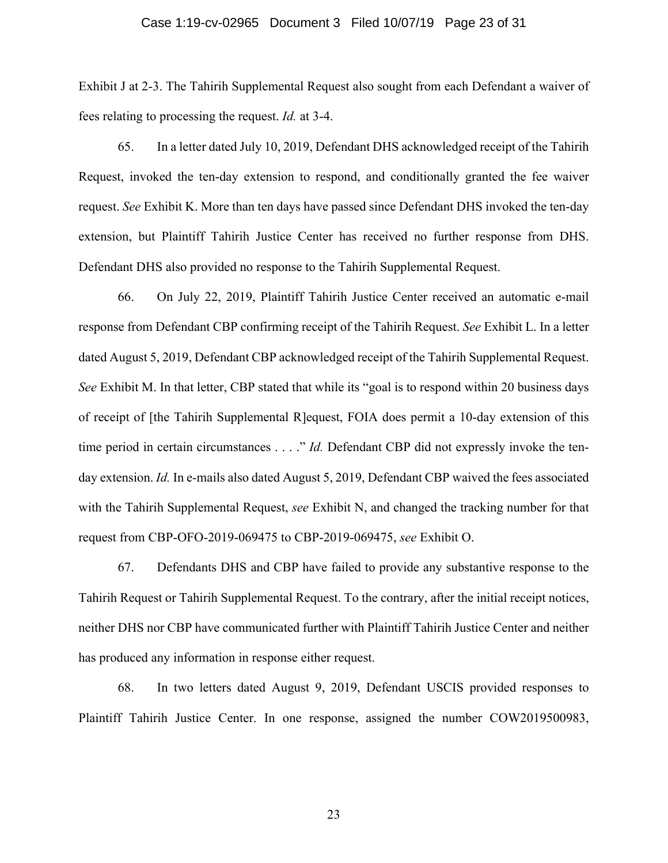#### Case 1:19-cv-02965 Document 3 Filed 10/07/19 Page 23 of 31

Exhibit J at 2-3. The Tahirih Supplemental Request also sought from each Defendant a waiver of fees relating to processing the request. *Id.* at 3-4.

65. In a letter dated July 10, 2019, Defendant DHS acknowledged receipt of the Tahirih Request, invoked the ten-day extension to respond, and conditionally granted the fee waiver request. *See* Exhibit K. More than ten days have passed since Defendant DHS invoked the ten-day extension, but Plaintiff Tahirih Justice Center has received no further response from DHS. Defendant DHS also provided no response to the Tahirih Supplemental Request.

66. On July 22, 2019, Plaintiff Tahirih Justice Center received an automatic e-mail response from Defendant CBP confirming receipt of the Tahirih Request. *See* Exhibit L. In a letter dated August 5, 2019, Defendant CBP acknowledged receipt of the Tahirih Supplemental Request. *See* Exhibit M. In that letter, CBP stated that while its "goal is to respond within 20 business days of receipt of [the Tahirih Supplemental R]equest, FOIA does permit a 10-day extension of this time period in certain circumstances . . . ." *Id.* Defendant CBP did not expressly invoke the tenday extension. *Id.* In e-mails also dated August 5, 2019, Defendant CBP waived the fees associated with the Tahirih Supplemental Request, *see* Exhibit N, and changed the tracking number for that request from CBP-OFO-2019-069475 to CBP-2019-069475, *see* Exhibit O.

67. Defendants DHS and CBP have failed to provide any substantive response to the Tahirih Request or Tahirih Supplemental Request. To the contrary, after the initial receipt notices, neither DHS nor CBP have communicated further with Plaintiff Tahirih Justice Center and neither has produced any information in response either request.

68. In two letters dated August 9, 2019, Defendant USCIS provided responses to Plaintiff Tahirih Justice Center. In one response, assigned the number COW2019500983,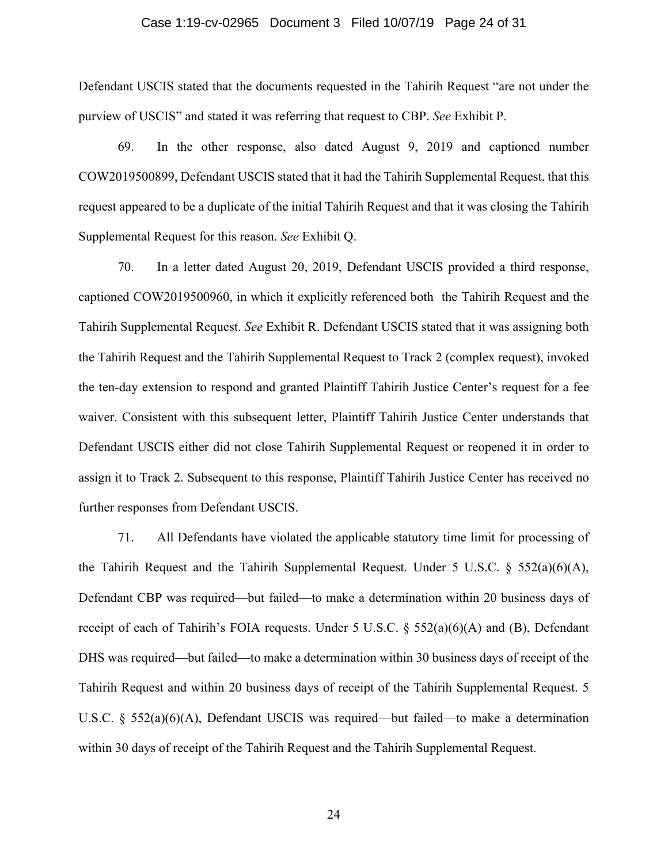#### Case 1:19-cv-02965 Document 3 Filed 10/07/19 Page 24 of 31

Defendant USCIS stated that the documents requested in the Tahirih Request "are not under the purview of USCIS" and stated it was referring that request to CBP. *See* Exhibit P.

69. In the other response, also dated August 9, 2019 and captioned number COW2019500899, Defendant USCIS stated that it had the Tahirih Supplemental Request, that this request appeared to be a duplicate of the initial Tahirih Request and that it was closing the Tahirih Supplemental Request for this reason. *See* Exhibit Q.

70. In a letter dated August 20, 2019, Defendant USCIS provided a third response, captioned COW2019500960, in which it explicitly referenced both the Tahirih Request and the Tahirih Supplemental Request. *See* Exhibit R. Defendant USCIS stated that it was assigning both the Tahirih Request and the Tahirih Supplemental Request to Track 2 (complex request), invoked the ten-day extension to respond and granted Plaintiff Tahirih Justice Center's request for a fee waiver. Consistent with this subsequent letter, Plaintiff Tahirih Justice Center understands that Defendant USCIS either did not close Tahirih Supplemental Request or reopened it in order to assign it to Track 2. Subsequent to this response, Plaintiff Tahirih Justice Center has received no further responses from Defendant USCIS.

71. All Defendants have violated the applicable statutory time limit for processing of the Tahirih Request and the Tahirih Supplemental Request. Under 5 U.S.C.  $\S$  552(a)(6)(A), Defendant CBP was required—but failed—to make a determination within 20 business days of receipt of each of Tahirih's FOIA requests. Under 5 U.S.C.  $\S$  552(a)(6)(A) and (B), Defendant DHS was required—but failed—to make a determination within 30 business days of receipt of the Tahirih Request and within 20 business days of receipt of the Tahirih Supplemental Request. 5 U.S.C. § 552(a)(6)(A), Defendant USCIS was required—but failed—to make a determination within 30 days of receipt of the Tahirih Request and the Tahirih Supplemental Request.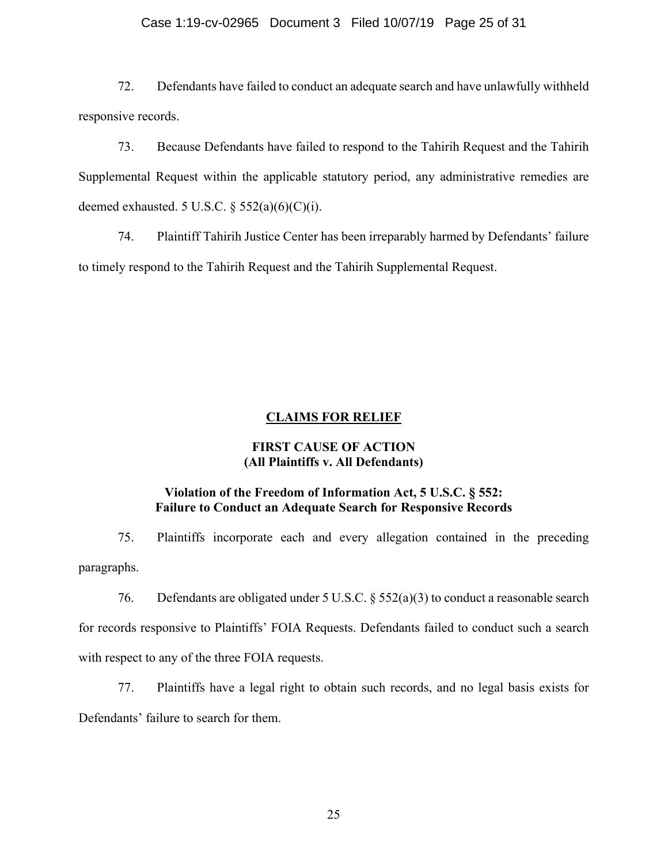## Case 1:19-cv-02965 Document 3 Filed 10/07/19 Page 25 of 31

72. Defendants have failed to conduct an adequate search and have unlawfully withheld responsive records.

73. Because Defendants have failed to respond to the Tahirih Request and the Tahirih Supplemental Request within the applicable statutory period, any administrative remedies are deemed exhausted. 5 U.S.C.  $\S$  552(a)(6)(C)(i).

74. Plaintiff Tahirih Justice Center has been irreparably harmed by Defendants' failure to timely respond to the Tahirih Request and the Tahirih Supplemental Request.

## **CLAIMS FOR RELIEF**

# **FIRST CAUSE OF ACTION (All Plaintiffs v. All Defendants)**

# **Violation of the Freedom of Information Act, 5 U.S.C. § 552: Failure to Conduct an Adequate Search for Responsive Records**

75. Plaintiffs incorporate each and every allegation contained in the preceding paragraphs.

76. Defendants are obligated under 5 U.S.C. § 552(a)(3) to conduct a reasonable search for records responsive to Plaintiffs' FOIA Requests. Defendants failed to conduct such a search with respect to any of the three FOIA requests.

77. Plaintiffs have a legal right to obtain such records, and no legal basis exists for Defendants' failure to search for them.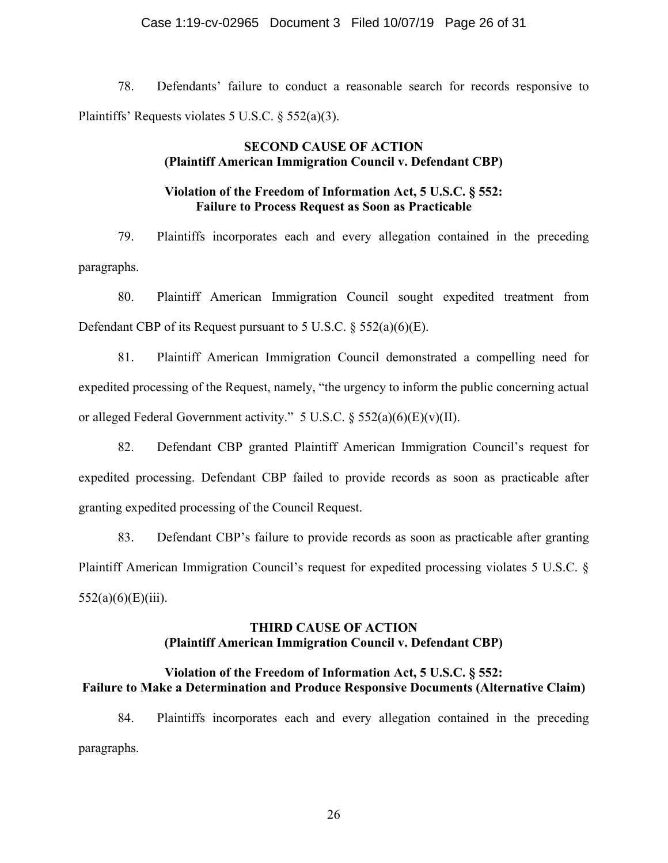## Case 1:19-cv-02965 Document 3 Filed 10/07/19 Page 26 of 31

78. Defendants' failure to conduct a reasonable search for records responsive to Plaintiffs' Requests violates 5 U.S.C. § 552(a)(3).

# **SECOND CAUSE OF ACTION (Plaintiff American Immigration Council v. Defendant CBP)**

# **Violation of the Freedom of Information Act, 5 U.S.C. § 552: Failure to Process Request as Soon as Practicable**

79. Plaintiffs incorporates each and every allegation contained in the preceding paragraphs.

80. Plaintiff American Immigration Council sought expedited treatment from Defendant CBP of its Request pursuant to 5 U.S.C. § 552(a)(6)(E).

81. Plaintiff American Immigration Council demonstrated a compelling need for expedited processing of the Request, namely, "the urgency to inform the public concerning actual or alleged Federal Government activity." 5 U.S.C. § 552(a)(6)(E)(v)(II).

82. Defendant CBP granted Plaintiff American Immigration Council's request for expedited processing. Defendant CBP failed to provide records as soon as practicable after granting expedited processing of the Council Request.

83. Defendant CBP's failure to provide records as soon as practicable after granting Plaintiff American Immigration Council's request for expedited processing violates 5 U.S.C. §  $552(a)(6)(E)(iii)$ .

# **THIRD CAUSE OF ACTION (Plaintiff American Immigration Council v. Defendant CBP)**

# **Violation of the Freedom of Information Act, 5 U.S.C. § 552: Failure to Make a Determination and Produce Responsive Documents (Alternative Claim)**

84. Plaintiffs incorporates each and every allegation contained in the preceding paragraphs.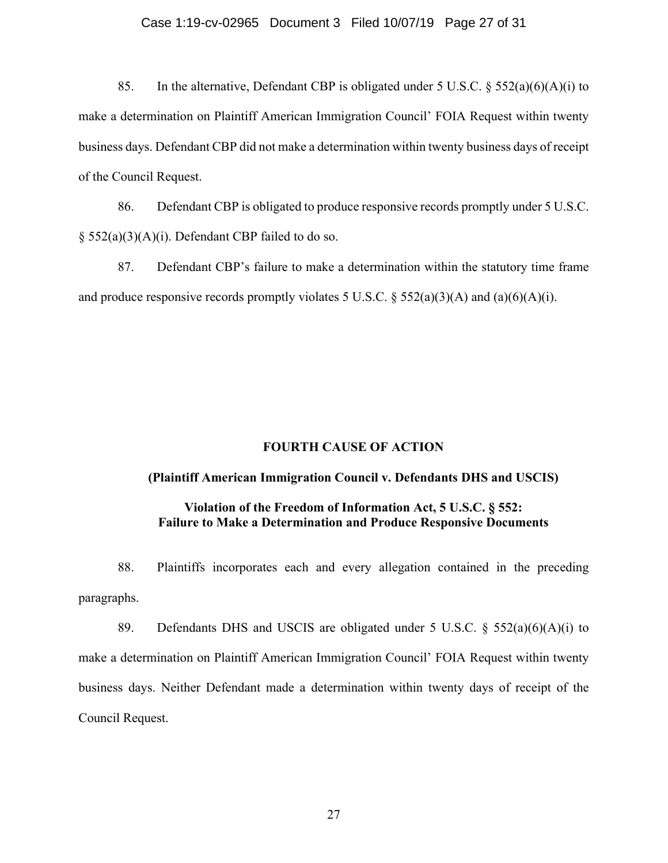## Case 1:19-cv-02965 Document 3 Filed 10/07/19 Page 27 of 31

85. In the alternative, Defendant CBP is obligated under 5 U.S.C.  $\S$  552(a)(6)(A)(i) to make a determination on Plaintiff American Immigration Council' FOIA Request within twenty business days. Defendant CBP did not make a determination within twenty business days of receipt of the Council Request.

86. Defendant CBP is obligated to produce responsive records promptly under 5 U.S.C.  $\S$  552(a)(3)(A)(i). Defendant CBP failed to do so.

87. Defendant CBP's failure to make a determination within the statutory time frame and produce responsive records promptly violates 5 U.S.C.  $\S$  552(a)(3)(A) and (a)(6)(A)(i).

# **FOURTH CAUSE OF ACTION**

## **(Plaintiff American Immigration Council v. Defendants DHS and USCIS)**

# **Violation of the Freedom of Information Act, 5 U.S.C. § 552: Failure to Make a Determination and Produce Responsive Documents**

88. Plaintiffs incorporates each and every allegation contained in the preceding paragraphs.

89. Defendants DHS and USCIS are obligated under 5 U.S.C.  $\S$  552(a)(6)(A)(i) to make a determination on Plaintiff American Immigration Council' FOIA Request within twenty business days. Neither Defendant made a determination within twenty days of receipt of the Council Request.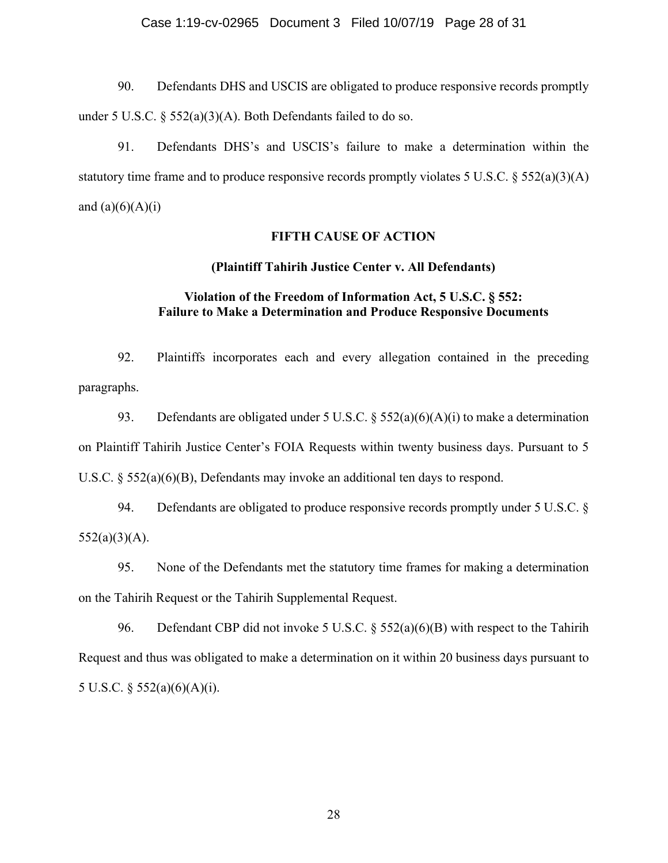## Case 1:19-cv-02965 Document 3 Filed 10/07/19 Page 28 of 31

90. Defendants DHS and USCIS are obligated to produce responsive records promptly under 5 U.S.C. § 552(a)(3)(A). Both Defendants failed to do so.

91. Defendants DHS's and USCIS's failure to make a determination within the statutory time frame and to produce responsive records promptly violates 5 U.S.C. § 552(a)(3)(A) and  $(a)(6)(A)(i)$ 

# **FIFTH CAUSE OF ACTION**

# **(Plaintiff Tahirih Justice Center v. All Defendants)**

# **Violation of the Freedom of Information Act, 5 U.S.C. § 552: Failure to Make a Determination and Produce Responsive Documents**

92. Plaintiffs incorporates each and every allegation contained in the preceding paragraphs.

93. Defendants are obligated under 5 U.S.C. §  $552(a)(6)(A)(i)$  to make a determination on Plaintiff Tahirih Justice Center's FOIA Requests within twenty business days. Pursuant to 5 U.S.C. § 552(a)(6)(B), Defendants may invoke an additional ten days to respond.

94. Defendants are obligated to produce responsive records promptly under 5 U.S.C. §  $552(a)(3)(A)$ .

95. None of the Defendants met the statutory time frames for making a determination on the Tahirih Request or the Tahirih Supplemental Request.

96. Defendant CBP did not invoke 5 U.S.C. § 552(a)(6)(B) with respect to the Tahirih Request and thus was obligated to make a determination on it within 20 business days pursuant to 5 U.S.C. § 552(a)(6)(A)(i).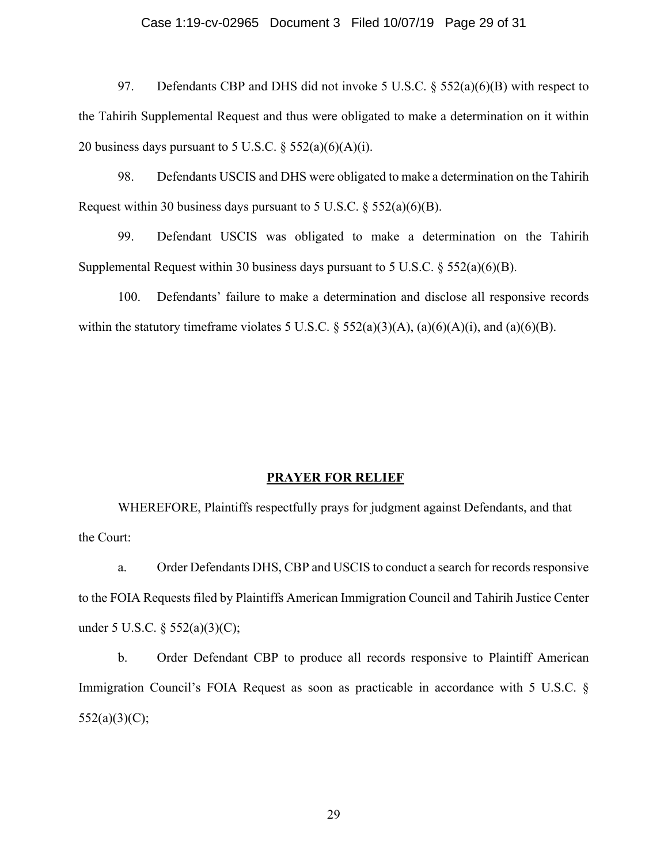## Case 1:19-cv-02965 Document 3 Filed 10/07/19 Page 29 of 31

97. Defendants CBP and DHS did not invoke 5 U.S.C.  $\S$  552(a)(6)(B) with respect to the Tahirih Supplemental Request and thus were obligated to make a determination on it within 20 business days pursuant to 5 U.S.C.  $\S$  552(a)(6)(A)(i).

98. Defendants USCIS and DHS were obligated to make a determination on the Tahirih Request within 30 business days pursuant to 5 U.S.C.  $\S$  552(a)(6)(B).

99. Defendant USCIS was obligated to make a determination on the Tahirih Supplemental Request within 30 business days pursuant to 5 U.S.C.  $\S 552(a)(6)(B)$ .

100. Defendants' failure to make a determination and disclose all responsive records within the statutory timeframe violates 5 U.S.C.  $\S$  552(a)(3)(A), (a)(6)(A)(i), and (a)(6)(B).

#### **PRAYER FOR RELIEF**

WHEREFORE, Plaintiffs respectfully prays for judgment against Defendants, and that the Court:

a. Order Defendants DHS, CBP and USCIS to conduct a search for records responsive to the FOIA Requests filed by Plaintiffs American Immigration Council and Tahirih Justice Center under 5 U.S.C. § 552(a)(3)(C);

b. Order Defendant CBP to produce all records responsive to Plaintiff American Immigration Council's FOIA Request as soon as practicable in accordance with 5 U.S.C. §  $552(a)(3)(C);$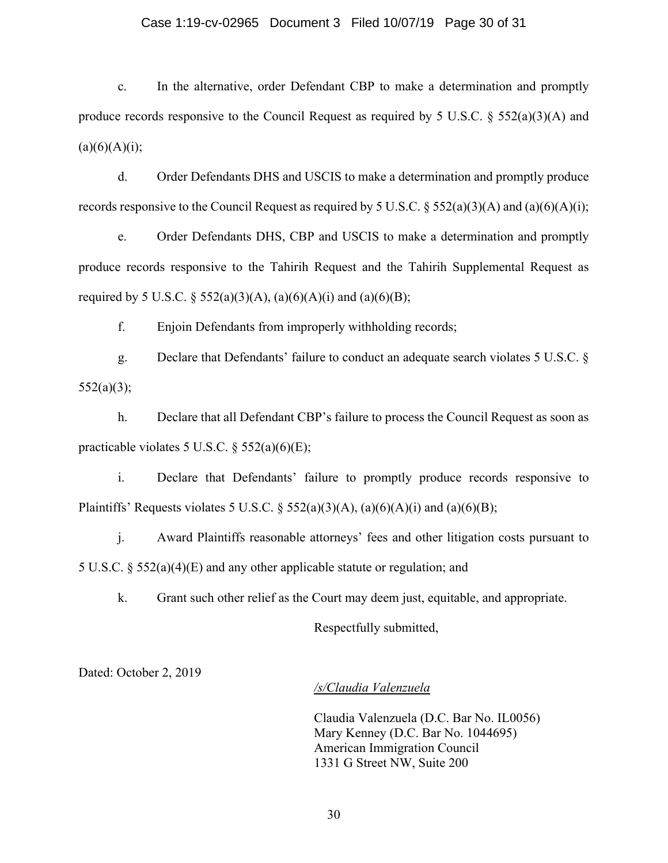#### Case 1:19-cv-02965 Document 3 Filed 10/07/19 Page 30 of 31

c. In the alternative, order Defendant CBP to make a determination and promptly produce records responsive to the Council Request as required by 5 U.S.C.  $\S 552(a)(3)(A)$  and  $(a)(6)(A)(i);$ 

d. Order Defendants DHS and USCIS to make a determination and promptly produce records responsive to the Council Request as required by 5 U.S.C.  $\S 552(a)(3)(A)$  and  $(a)(6)(A)(i)$ ;

e. Order Defendants DHS, CBP and USCIS to make a determination and promptly produce records responsive to the Tahirih Request and the Tahirih Supplemental Request as required by 5 U.S.C. § 552(a)(3)(A), (a)(6)(A)(i) and (a)(6)(B);

f. Enjoin Defendants from improperly withholding records;

g. Declare that Defendants' failure to conduct an adequate search violates 5 U.S.C. § 552(a)(3);

h. Declare that all Defendant CBP's failure to process the Council Request as soon as practicable violates 5 U.S.C.  $\S$  552(a)(6)(E);

i. Declare that Defendants' failure to promptly produce records responsive to Plaintiffs' Requests violates 5 U.S.C. § 552(a)(3)(A), (a)(6)(A)(i) and (a)(6)(B);

j. Award Plaintiffs reasonable attorneys' fees and other litigation costs pursuant to 5 U.S.C. § 552(a)(4)(E) and any other applicable statute or regulation; and

k. Grant such other relief as the Court may deem just, equitable, and appropriate.

Respectfully submitted,

Dated: October 2, 2019

#### */s/Claudia Valenzuela*

Claudia Valenzuela (D.C. Bar No. IL0056) Mary Kenney (D.C. Bar No. 1044695) American Immigration Council 1331 G Street NW, Suite 200